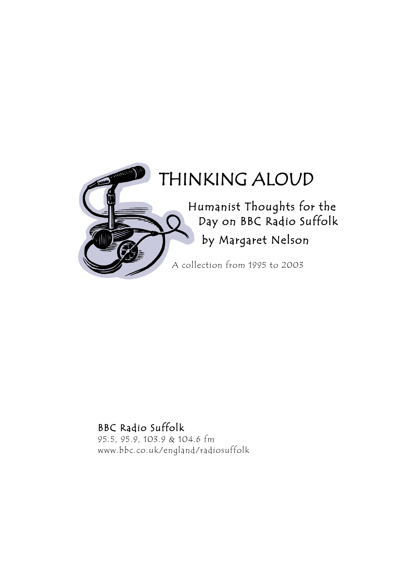

**BBC Radio Suffolk**  95.5, 95.9, 103.9 & 104.6 fm www.bbc.co.uk/england/radiosuffolk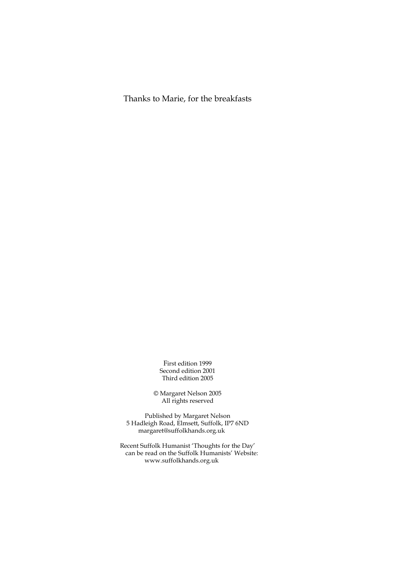Thanks to Marie, for the breakfasts

First edition 1999 Second edition 2001 Third edition 2005

© Margaret Nelson 2005 All rights reserved

Published by Margaret Nelson 5 Hadleigh Road, Elmsett, Suffolk, IP7 6ND margaret@suffolkhands.org.uk

Recent Suffolk Humanist 'Thoughts for the Day' can be read on the Suffolk Humanists' Website: www.suffolkhands.org.uk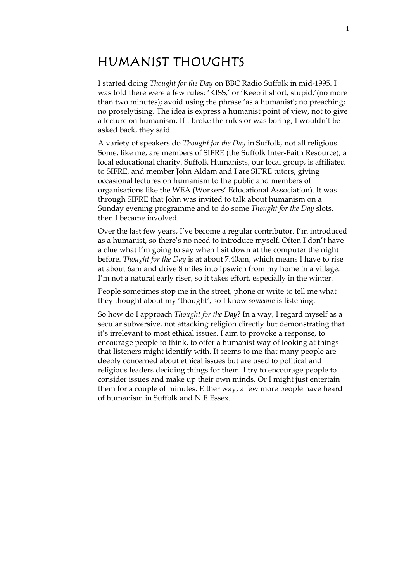#### **HUMANIST THOUGHTS**

I started doing *Thought for the Day* on BBC Radio Suffolk in mid-1995. I was told there were a few rules: 'KISS,' or 'Keep it short, stupid,'(no more than two minutes); avoid using the phrase 'as a humanist'; no preaching; no proselytising. The idea is express a humanist point of view, not to give a lecture on humanism. If I broke the rules or was boring, I wouldn't be asked back, they said.

A variety of speakers do *Thought for the Day* in Suffolk, not all religious. Some, like me, are members of SIFRE (the Suffolk Inter-Faith Resource), a local educational charity. Suffolk Humanists, our local group, is affiliated to SIFRE, and member John Aldam and I are SIFRE tutors, giving occasional lectures on humanism to the public and members of organisations like the WEA (Workers' Educational Association). It was through SIFRE that John was invited to talk about humanism on a Sunday evening programme and to do some *Thought for the Day* slots, then I became involved.

Over the last few years, I've become a regular contributor. I'm introduced as a humanist, so there's no need to introduce myself. Often I don't have a clue what I'm going to say when I sit down at the computer the night before. *Thought for the Day* is at about 7.40am, which means I have to rise at about 6am and drive 8 miles into Ipswich from my home in a village. I'm not a natural early riser, so it takes effort, especially in the winter.

People sometimes stop me in the street, phone or write to tell me what they thought about my 'thought', so I know *someone* is listening.

So how do I approach *Thought for the Day*? In a way, I regard myself as a secular subversive, not attacking religion directly but demonstrating that it's irrelevant to most ethical issues. I aim to provoke a response, to encourage people to think, to offer a humanist way of looking at things that listeners might identify with. It seems to me that many people are deeply concerned about ethical issues but are used to political and religious leaders deciding things for them. I try to encourage people to consider issues and make up their own minds. Or I might just entertain them for a couple of minutes. Either way, a few more people have heard of humanism in Suffolk and N E Essex.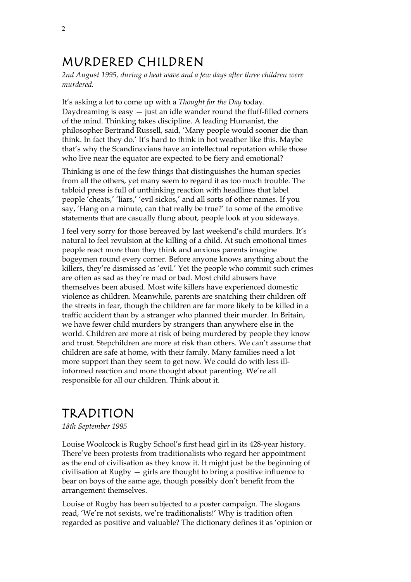### **MURDERED CHILDREN**

*2nd August 1995, during a heat wave and a few days after three children were murdered.* 

It's asking a lot to come up with a *Thought for the Day* today. Daydreaming is easy  $-$  just an idle wander round the fluff-filled corners of the mind. Thinking takes discipline. A leading Humanist, the philosopher Bertrand Russell, said, 'Many people would sooner die than think. In fact they do.' It's hard to think in hot weather like this. Maybe that's why the Scandinavians have an intellectual reputation while those who live near the equator are expected to be fiery and emotional?

Thinking is one of the few things that distinguishes the human species from all the others, yet many seem to regard it as too much trouble. The tabloid press is full of unthinking reaction with headlines that label people 'cheats,' 'liars,' 'evil sickos,' and all sorts of other names. If you say, 'Hang on a minute, can that really be true?' to some of the emotive statements that are casually flung about, people look at you sideways.

I feel very sorry for those bereaved by last weekend's child murders. It's natural to feel revulsion at the killing of a child. At such emotional times people react more than they think and anxious parents imagine bogeymen round every corner. Before anyone knows anything about the killers, they're dismissed as 'evil.' Yet the people who commit such crimes are often as sad as they're mad or bad. Most child abusers have themselves been abused. Most wife killers have experienced domestic violence as children. Meanwhile, parents are snatching their children off the streets in fear, though the children are far more likely to be killed in a traffic accident than by a stranger who planned their murder. In Britain, we have fewer child murders by strangers than anywhere else in the world. Children are more at risk of being murdered by people they know and trust. Stepchildren are more at risk than others. We can't assume that children are safe at home, with their family. Many families need a lot more support than they seem to get now. We could do with less illinformed reaction and more thought about parenting. We're all responsible for all our children. Think about it.

#### **TRADITION**

*18th September 1995* 

Louise Woolcock is Rugby School's first head girl in its 428-year history. There've been protests from traditionalists who regard her appointment as the end of civilisation as they know it. It might just be the beginning of civilisation at Rugby — girls are thought to bring a positive influence to bear on boys of the same age, though possibly don't benefit from the arrangement themselves.

Louise of Rugby has been subjected to a poster campaign. The slogans read, 'We're not sexists, we're traditionalists!' Why is tradition often regarded as positive and valuable? The dictionary defines it as 'opinion or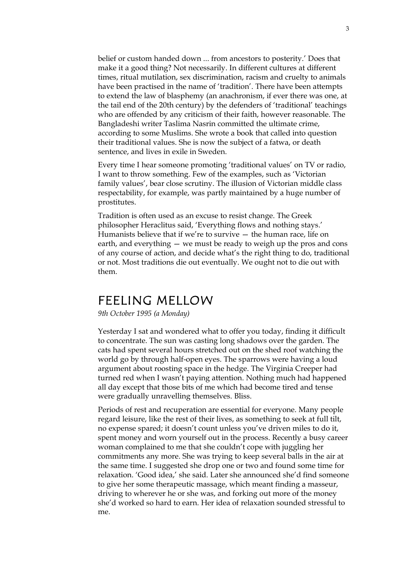belief or custom handed down ... from ancestors to posterity.' Does that make it a good thing? Not necessarily. In different cultures at different times, ritual mutilation, sex discrimination, racism and cruelty to animals have been practised in the name of 'tradition'. There have been attempts to extend the law of blasphemy (an anachronism, if ever there was one, at the tail end of the 20th century) by the defenders of 'traditional' teachings who are offended by any criticism of their faith, however reasonable. The Bangladeshi writer Taslima Nasrin committed the ultimate crime, according to some Muslims. She wrote a book that called into question their traditional values. She is now the subject of a fatwa, or death sentence, and lives in exile in Sweden.

Every time I hear someone promoting 'traditional values' on TV or radio, I want to throw something. Few of the examples, such as 'Victorian family values', bear close scrutiny. The illusion of Victorian middle class respectability, for example, was partly maintained by a huge number of prostitutes.

Tradition is often used as an excuse to resist change. The Greek philosopher Heraclitus said, 'Everything flows and nothing stays.' Humanists believe that if we're to survive — the human race, life on earth, and everything — we must be ready to weigh up the pros and cons of any course of action, and decide what's the right thing to do, traditional or not. Most traditions die out eventually. We ought not to die out with them.

#### **FEELING MELLOW**

*9th October 1995 (a Monday)* 

Yesterday I sat and wondered what to offer you today, finding it difficult to concentrate. The sun was casting long shadows over the garden. The cats had spent several hours stretched out on the shed roof watching the world go by through half-open eyes. The sparrows were having a loud argument about roosting space in the hedge. The Virginia Creeper had turned red when I wasn't paying attention. Nothing much had happened all day except that those bits of me which had become tired and tense were gradually unravelling themselves. Bliss.

Periods of rest and recuperation are essential for everyone. Many people regard leisure, like the rest of their lives, as something to seek at full tilt, no expense spared; it doesn't count unless you've driven miles to do it, spent money and worn yourself out in the process. Recently a busy career woman complained to me that she couldn't cope with juggling her commitments any more. She was trying to keep several balls in the air at the same time. I suggested she drop one or two and found some time for relaxation. 'Good idea,' she said. Later she announced she'd find someone to give her some therapeutic massage, which meant finding a masseur, driving to wherever he or she was, and forking out more of the money she'd worked so hard to earn. Her idea of relaxation sounded stressful to me.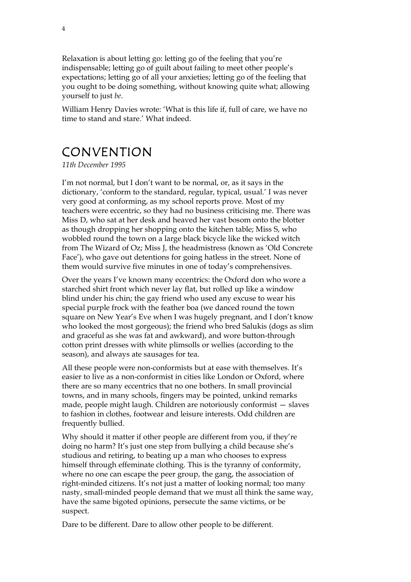Relaxation is about letting go: letting go of the feeling that you're indispensable; letting go of guilt about failing to meet other people's expectations; letting go of all your anxieties; letting go of the feeling that you ought to be doing something, without knowing quite what; allowing yourself to just *be*.

William Henry Davies wrote: 'What is this life if, full of care, we have no time to stand and stare.' What indeed

### **CONVENTION**

*11th December 1995* 

I'm not normal, but I don't want to be normal, or, as it says in the dictionary, 'conform to the standard, regular, typical, usual.' I was never very good at conforming, as my school reports prove. Most of my teachers were eccentric, so they had no business criticising me. There was Miss D, who sat at her desk and heaved her vast bosom onto the blotter as though dropping her shopping onto the kitchen table; Miss S, who wobbled round the town on a large black bicycle like the wicked witch from The Wizard of Oz; Miss J, the headmistress (known as 'Old Concrete Face'), who gave out detentions for going hatless in the street. None of them would survive five minutes in one of today's comprehensives.

Over the years I've known many eccentrics: the Oxford don who wore a starched shirt front which never lay flat, but rolled up like a window blind under his chin; the gay friend who used any excuse to wear his special purple frock with the feather boa (we danced round the town square on New Year's Eve when I was hugely pregnant, and I don't know who looked the most gorgeous); the friend who bred Salukis (dogs as slim and graceful as she was fat and awkward), and wore button-through cotton print dresses with white plimsolls or wellies (according to the season), and always ate sausages for tea.

All these people were non-conformists but at ease with themselves. It's easier to live as a non-conformist in cities like London or Oxford, where there are so many eccentrics that no one bothers. In small provincial towns, and in many schools, fingers may be pointed, unkind remarks made, people might laugh. Children are notoriously conformist — slaves to fashion in clothes, footwear and leisure interests. Odd children are frequently bullied.

Why should it matter if other people are different from you, if they're doing no harm? It's just one step from bullying a child because she's studious and retiring, to beating up a man who chooses to express himself through effeminate clothing. This is the tyranny of conformity, where no one can escape the peer group, the gang, the association of right-minded citizens. It's not just a matter of looking normal; too many nasty, small-minded people demand that we must all think the same way, have the same bigoted opinions, persecute the same victims, or be suspect.

Dare to be different. Dare to allow other people to be different.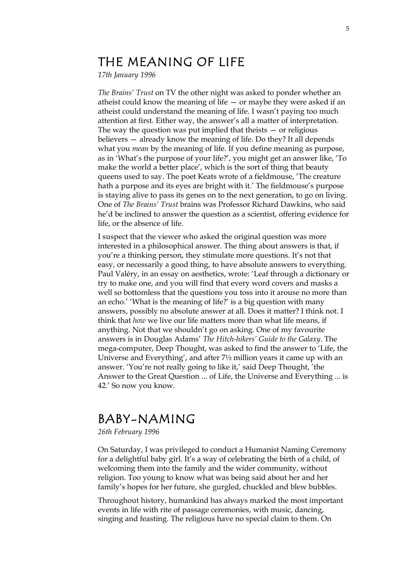### **THE MEANING OF LIFE**

*17th January 1996* 

*The Brains' Trust* on TV the other night was asked to ponder whether an atheist could know the meaning of life  $-$  or maybe they were asked if an atheist could understand the meaning of life. I wasn't paying too much attention at first. Either way, the answer's all a matter of interpretation. The way the question was put implied that theists  $-$  or religious believers — already know the meaning of life. Do they? It all depends what you *mean* by the meaning of life. If you define meaning as purpose, as in 'What's the purpose of your life?', you might get an answer like, 'To make the world a better place', which is the sort of thing that beauty queens used to say. The poet Keats wrote of a fieldmouse, 'The creature hath a purpose and its eyes are bright with it.' The fieldmouse's purpose is staying alive to pass its genes on to the next generation, to go on living. One of *The Brains' Trust* brains was Professor Richard Dawkins, who said he'd be inclined to answer the question as a scientist, offering evidence for life, or the absence of life.

I suspect that the viewer who asked the original question was more interested in a philosophical answer. The thing about answers is that, if you're a thinking person, they stimulate more questions. It's not that easy, or necessarily a good thing, to have absolute answers to everything. Paul Valéry, in an essay on aesthetics, wrote: 'Leaf through a dictionary or try to make one, and you will find that every word covers and masks a well so bottomless that the questions you toss into it arouse no more than an echo.' 'What is the meaning of life?' is a big question with many answers, possibly no absolute answer at all. Does it matter? I think not. I think that *how* we live our life matters more than what life means, if anything. Not that we shouldn't go on asking. One of my favourite answers is in Douglas Adams' *The Hitch-hikers' Guide to the Galaxy*. The mega-computer, Deep Thought, was asked to find the answer to 'Life, the Universe and Everything', and after 7½ million years it came up with an answer. 'You're not really going to like it,' said Deep Thought, 'the Answer to the Great Question ... of Life, the Universe and Everything ... is 42.' So now you know.

#### **BABY-NAMING**

*26th February 1996* 

On Saturday, I was privileged to conduct a Humanist Naming Ceremony for a delightful baby girl. It's a way of celebrating the birth of a child, of welcoming them into the family and the wider community, without religion. Too young to know what was being said about her and her family's hopes for her future, she gurgled, chuckled and blew bubbles.

Throughout history, humankind has always marked the most important events in life with rite of passage ceremonies, with music, dancing, singing and feasting. The religious have no special claim to them. On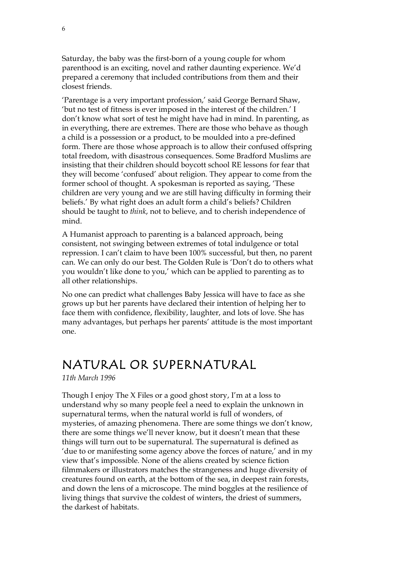Saturday, the baby was the first-born of a young couple for whom parenthood is an exciting, novel and rather daunting experience. We'd prepared a ceremony that included contributions from them and their closest friends.

'Parentage is a very important profession,' said George Bernard Shaw, 'but no test of fitness is ever imposed in the interest of the children.' I don't know what sort of test he might have had in mind. In parenting, as in everything, there are extremes. There are those who behave as though a child is a possession or a product, to be moulded into a pre-defined form. There are those whose approach is to allow their confused offspring total freedom, with disastrous consequences. Some Bradford Muslims are insisting that their children should boycott school RE lessons for fear that they will become 'confused' about religion. They appear to come from the former school of thought. A spokesman is reported as saying, 'These children are very young and we are still having difficulty in forming their beliefs.' By what right does an adult form a child's beliefs? Children should be taught to *think*, not to believe, and to cherish independence of mind.

A Humanist approach to parenting is a balanced approach, being consistent, not swinging between extremes of total indulgence or total repression. I can't claim to have been 100% successful, but then, no parent can. We can only do our best. The Golden Rule is 'Don't do to others what you wouldn't like done to you,' which can be applied to parenting as to all other relationships.

No one can predict what challenges Baby Jessica will have to face as she grows up but her parents have declared their intention of helping her to face them with confidence, flexibility, laughter, and lots of love. She has many advantages, but perhaps her parents' attitude is the most important one.

#### **NATURAL OR SUPERNATURAL**

*11th March 1996* 

Though I enjoy The X Files or a good ghost story, I'm at a loss to understand why so many people feel a need to explain the unknown in supernatural terms, when the natural world is full of wonders, of mysteries, of amazing phenomena. There are some things we don't know, there are some things we'll never know, but it doesn't mean that these things will turn out to be supernatural. The supernatural is defined as 'due to or manifesting some agency above the forces of nature,' and in my view that's impossible. None of the aliens created by science fiction filmmakers or illustrators matches the strangeness and huge diversity of creatures found on earth, at the bottom of the sea, in deepest rain forests, and down the lens of a microscope. The mind boggles at the resilience of living things that survive the coldest of winters, the driest of summers, the darkest of habitats.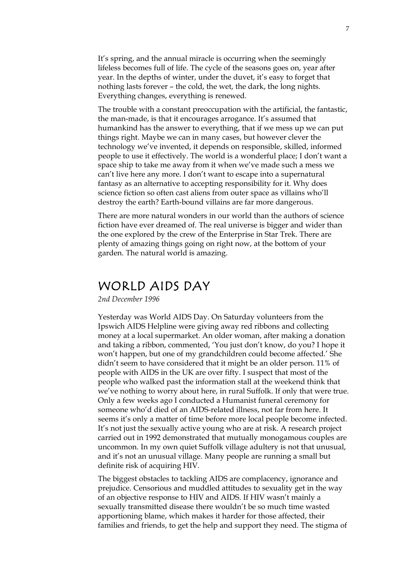It's spring, and the annual miracle is occurring when the seemingly lifeless becomes full of life. The cycle of the seasons goes on, year after year. In the depths of winter, under the duvet, it's easy to forget that nothing lasts forever – the cold, the wet, the dark, the long nights. Everything changes, everything is renewed.

The trouble with a constant preoccupation with the artificial, the fantastic, the man-made, is that it encourages arrogance. It's assumed that humankind has the answer to everything, that if we mess up we can put things right. Maybe we can in many cases, but however clever the technology we've invented, it depends on responsible, skilled, informed people to use it effectively. The world is a wonderful place; I don't want a space ship to take me away from it when we've made such a mess we can't live here any more. I don't want to escape into a supernatural fantasy as an alternative to accepting responsibility for it. Why does science fiction so often cast aliens from outer space as villains who'll destroy the earth? Earth-bound villains are far more dangerous.

There are more natural wonders in our world than the authors of science fiction have ever dreamed of. The real universe is bigger and wider than the one explored by the crew of the Enterprise in Star Trek. There are plenty of amazing things going on right now, at the bottom of your garden. The natural world is amazing.

#### **WORLD AIDS DAY**

*2nd December 1996* 

Yesterday was World AIDS Day. On Saturday volunteers from the Ipswich AIDS Helpline were giving away red ribbons and collecting money at a local supermarket. An older woman, after making a donation and taking a ribbon, commented, 'You just don't know, do you? I hope it won't happen, but one of my grandchildren could become affected.' She didn't seem to have considered that it might be an older person. 11% of people with AIDS in the UK are over fifty. I suspect that most of the people who walked past the information stall at the weekend think that we've nothing to worry about here, in rural Suffolk. If only that were true. Only a few weeks ago I conducted a Humanist funeral ceremony for someone who'd died of an AIDS-related illness, not far from here. It seems it's only a matter of time before more local people become infected. It's not just the sexually active young who are at risk. A research project carried out in 1992 demonstrated that mutually monogamous couples are uncommon. In my own quiet Suffolk village adultery is not that unusual, and it's not an unusual village. Many people are running a small but definite risk of acquiring HIV.

The biggest obstacles to tackling AIDS are complacency, ignorance and prejudice. Censorious and muddled attitudes to sexuality get in the way of an objective response to HIV and AIDS. If HIV wasn't mainly a sexually transmitted disease there wouldn't be so much time wasted apportioning blame, which makes it harder for those affected, their families and friends, to get the help and support they need. The stigma of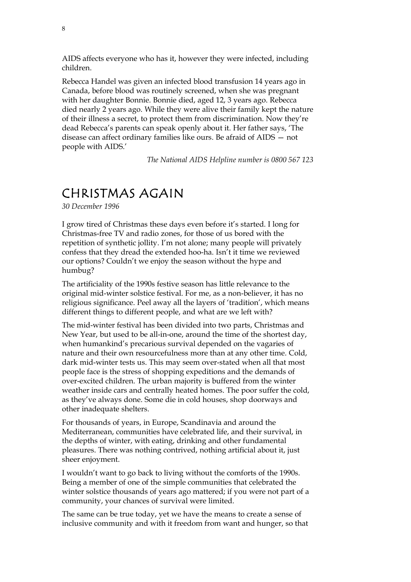AIDS affects everyone who has it, however they were infected, including children.

Rebecca Handel was given an infected blood transfusion 14 years ago in Canada, before blood was routinely screened, when she was pregnant with her daughter Bonnie. Bonnie died, aged 12, 3 years ago. Rebecca died nearly 2 years ago. While they were alive their family kept the nature of their illness a secret, to protect them from discrimination. Now they're dead Rebecca's parents can speak openly about it. Her father says, 'The disease can affect ordinary families like ours. Be afraid of AIDS — not people with AIDS.'

*The National AIDS Helpline number is 0800 567 123* 

### **CHRISTMAS AGAIN**

*30 December 1996* 

I grow tired of Christmas these days even before it's started. I long for Christmas-free TV and radio zones, for those of us bored with the repetition of synthetic jollity. I'm not alone; many people will privately confess that they dread the extended hoo-ha. Isn't it time we reviewed our options? Couldn't we enjoy the season without the hype and humbug?

The artificiality of the 1990s festive season has little relevance to the original mid-winter solstice festival. For me, as a non-believer, it has no religious significance. Peel away all the layers of 'tradition', which means different things to different people, and what are we left with?

The mid-winter festival has been divided into two parts, Christmas and New Year, but used to be all-in-one, around the time of the shortest day, when humankind's precarious survival depended on the vagaries of nature and their own resourcefulness more than at any other time. Cold, dark mid-winter tests us. This may seem over-stated when all that most people face is the stress of shopping expeditions and the demands of over-excited children. The urban majority is buffered from the winter weather inside cars and centrally heated homes. The poor suffer the cold, as they've always done. Some die in cold houses, shop doorways and other inadequate shelters.

For thousands of years, in Europe, Scandinavia and around the Mediterranean, communities have celebrated life, and their survival, in the depths of winter, with eating, drinking and other fundamental pleasures. There was nothing contrived, nothing artificial about it, just sheer enjoyment.

I wouldn't want to go back to living without the comforts of the 1990s. Being a member of one of the simple communities that celebrated the winter solstice thousands of years ago mattered; if you were not part of a community, your chances of survival were limited.

The same can be true today, yet we have the means to create a sense of inclusive community and with it freedom from want and hunger, so that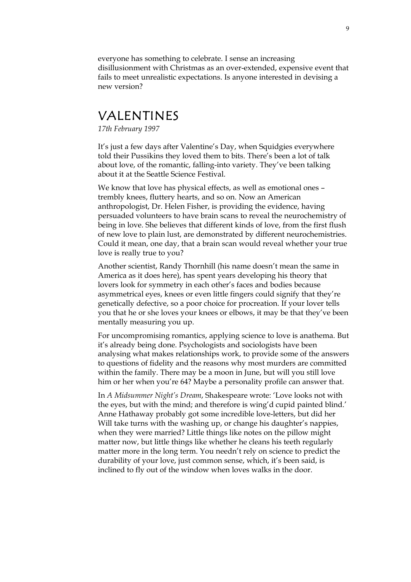everyone has something to celebrate. I sense an increasing disillusionment with Christmas as an over-extended, expensive event that fails to meet unrealistic expectations. Is anyone interested in devising a new version?

#### **VALENTINES**

*17th February 1997* 

It's just a few days after Valentine's Day, when Squidgies everywhere told their Pussikins they loved them to bits. There's been a lot of talk about love, of the romantic, falling-into variety. They've been talking about it at the Seattle Science Festival.

We know that love has physical effects, as well as emotional ones – trembly knees, fluttery hearts, and so on. Now an American anthropologist, Dr. Helen Fisher, is providing the evidence, having persuaded volunteers to have brain scans to reveal the neurochemistry of being in love. She believes that different kinds of love, from the first flush of new love to plain lust, are demonstrated by different neurochemistries. Could it mean, one day, that a brain scan would reveal whether your true love is really true to you?

Another scientist, Randy Thornhill (his name doesn't mean the same in America as it does here), has spent years developing his theory that lovers look for symmetry in each other's faces and bodies because asymmetrical eyes, knees or even little fingers could signify that they're genetically defective, so a poor choice for procreation. If your lover tells you that he or she loves your knees or elbows, it may be that they've been mentally measuring you up.

For uncompromising romantics, applying science to love is anathema. But it's already being done. Psychologists and sociologists have been analysing what makes relationships work, to provide some of the answers to questions of fidelity and the reasons why most murders are committed within the family. There may be a moon in June, but will you still love him or her when you're 64? Maybe a personality profile can answer that.

In *A Midsummer Night's Dream*, Shakespeare wrote: 'Love looks not with the eyes, but with the mind; and therefore is wing'd cupid painted blind.' Anne Hathaway probably got some incredible love-letters, but did her Will take turns with the washing up, or change his daughter's nappies, when they were married? Little things like notes on the pillow might matter now, but little things like whether he cleans his teeth regularly matter more in the long term. You needn't rely on science to predict the durability of your love, just common sense, which, it's been said, is inclined to fly out of the window when loves walks in the door.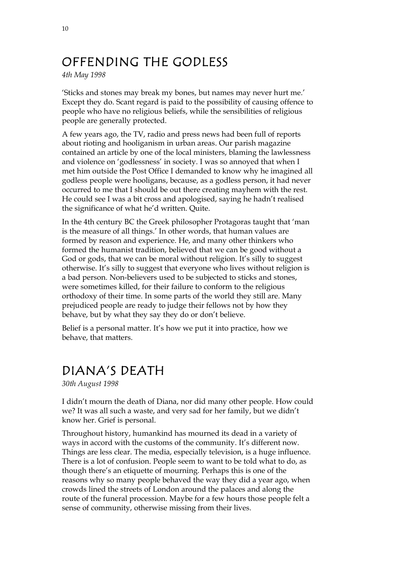## **OFFENDING THE GODLESS**

*4th May 1998* 

'Sticks and stones may break my bones, but names may never hurt me.' Except they do. Scant regard is paid to the possibility of causing offence to people who have no religious beliefs, while the sensibilities of religious people are generally protected.

A few years ago, the TV, radio and press news had been full of reports about rioting and hooliganism in urban areas. Our parish magazine contained an article by one of the local ministers, blaming the lawlessness and violence on 'godlessness' in society. I was so annoyed that when I met him outside the Post Office I demanded to know why he imagined all godless people were hooligans, because, as a godless person, it had never occurred to me that I should be out there creating mayhem with the rest. He could see I was a bit cross and apologised, saying he hadn't realised the significance of what he'd written. Quite.

In the 4th century BC the Greek philosopher Protagoras taught that 'man is the measure of all things.' In other words, that human values are formed by reason and experience. He, and many other thinkers who formed the humanist tradition, believed that we can be good without a God or gods, that we can be moral without religion. It's silly to suggest otherwise. It's silly to suggest that everyone who lives without religion is a bad person. Non-believers used to be subjected to sticks and stones, were sometimes killed, for their failure to conform to the religious orthodoxy of their time. In some parts of the world they still are. Many prejudiced people are ready to judge their fellows not by how they behave, but by what they say they do or don't believe.

Belief is a personal matter. It's how we put it into practice, how we behave, that matters.

### **DIANA'S DEATH**

*30th August 1998* 

I didn't mourn the death of Diana, nor did many other people. How could we? It was all such a waste, and very sad for her family, but we didn't know her. Grief is personal.

Throughout history, humankind has mourned its dead in a variety of ways in accord with the customs of the community. It's different now. Things are less clear. The media, especially television, is a huge influence. There is a lot of confusion. People seem to want to be told what to do, as though there's an etiquette of mourning. Perhaps this is one of the reasons why so many people behaved the way they did a year ago, when crowds lined the streets of London around the palaces and along the route of the funeral procession. Maybe for a few hours those people felt a sense of community, otherwise missing from their lives.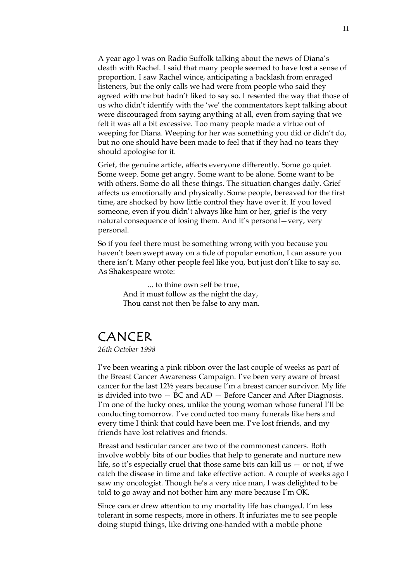A year ago I was on Radio Suffolk talking about the news of Diana's death with Rachel. I said that many people seemed to have lost a sense of proportion. I saw Rachel wince, anticipating a backlash from enraged listeners, but the only calls we had were from people who said they agreed with me but hadn't liked to say so. I resented the way that those of us who didn't identify with the 'we' the commentators kept talking about were discouraged from saying anything at all, even from saying that we felt it was all a bit excessive. Too many people made a virtue out of weeping for Diana. Weeping for her was something you did or didn't do, but no one should have been made to feel that if they had no tears they should apologise for it.

Grief, the genuine article, affects everyone differently. Some go quiet. Some weep. Some get angry. Some want to be alone. Some want to be with others. Some do all these things. The situation changes daily. Grief affects us emotionally and physically. Some people, bereaved for the first time, are shocked by how little control they have over it. If you loved someone, even if you didn't always like him or her, grief is the very natural consequence of losing them. And it's personal—very, very personal.

So if you feel there must be something wrong with you because you haven't been swept away on a tide of popular emotion, I can assure you there isn't. Many other people feel like you, but just don't like to say so. As Shakespeare wrote:

... to thine own self be true, And it must follow as the night the day, Thou canst not then be false to any man.

#### **CANCER**

*26th October 1998* 

I've been wearing a pink ribbon over the last couple of weeks as part of the Breast Cancer Awareness Campaign. I've been very aware of breast cancer for the last 12½ years because I'm a breast cancer survivor. My life is divided into two — BC and AD — Before Cancer and After Diagnosis. I'm one of the lucky ones, unlike the young woman whose funeral I'll be conducting tomorrow. I've conducted too many funerals like hers and every time I think that could have been me. I've lost friends, and my friends have lost relatives and friends.

Breast and testicular cancer are two of the commonest cancers. Both involve wobbly bits of our bodies that help to generate and nurture new life, so it's especially cruel that those same bits can kill us  $-$  or not, if we catch the disease in time and take effective action. A couple of weeks ago I saw my oncologist. Though he's a very nice man, I was delighted to be told to go away and not bother him any more because I'm OK.

Since cancer drew attention to my mortality life has changed. I'm less tolerant in some respects, more in others. It infuriates me to see people doing stupid things, like driving one-handed with a mobile phone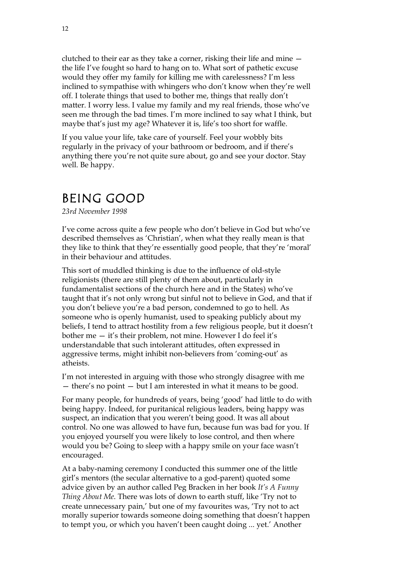clutched to their ear as they take a corner, risking their life and mine the life I've fought so hard to hang on to. What sort of pathetic excuse would they offer my family for killing me with carelessness? I'm less inclined to sympathise with whingers who don't know when they're well off. I tolerate things that used to bother me, things that really don't matter. I worry less. I value my family and my real friends, those who've seen me through the bad times. I'm more inclined to say what I think, but maybe that's just my age? Whatever it is, life's too short for waffle.

If you value your life, take care of yourself. Feel your wobbly bits regularly in the privacy of your bathroom or bedroom, and if there's anything there you're not quite sure about, go and see your doctor. Stay well. Be happy.

#### **BEING GOOD**

*23rd November 1998* 

I've come across quite a few people who don't believe in God but who've described themselves as 'Christian', when what they really mean is that they like to think that they're essentially good people, that they're 'moral' in their behaviour and attitudes.

This sort of muddled thinking is due to the influence of old-style religionists (there are still plenty of them about, particularly in fundamentalist sections of the church here and in the States) who've taught that it's not only wrong but sinful not to believe in God, and that if you don't believe you're a bad person, condemned to go to hell. As someone who is openly humanist, used to speaking publicly about my beliefs, I tend to attract hostility from a few religious people, but it doesn't bother me — it's their problem, not mine. However I do feel it's understandable that such intolerant attitudes, often expressed in aggressive terms, might inhibit non-believers from 'coming-out' as atheists.

I'm not interested in arguing with those who strongly disagree with me — there's no point — but I am interested in what it means to be good.

For many people, for hundreds of years, being 'good' had little to do with being happy. Indeed, for puritanical religious leaders, being happy was suspect, an indication that you weren't being good. It was all about control. No one was allowed to have fun, because fun was bad for you. If you enjoyed yourself you were likely to lose control, and then where would you be? Going to sleep with a happy smile on your face wasn't encouraged.

At a baby-naming ceremony I conducted this summer one of the little girl's mentors (the secular alternative to a god-parent) quoted some advice given by an author called Peg Bracken in her book *It's A Funny Thing About Me*. There was lots of down to earth stuff, like 'Try not to create unnecessary pain,' but one of my favourites was, 'Try not to act morally superior towards someone doing something that doesn't happen to tempt you, or which you haven't been caught doing ... yet.' Another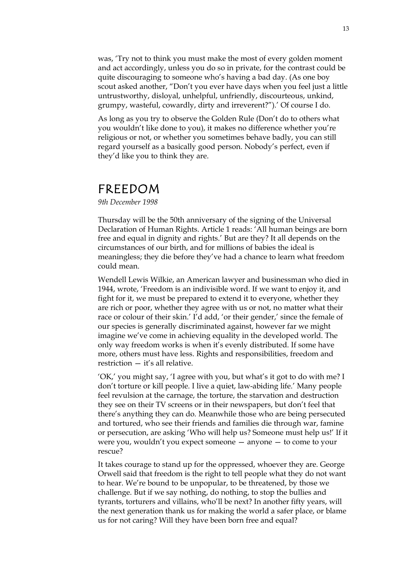was, 'Try not to think you must make the most of every golden moment and act accordingly, unless you do so in private, for the contrast could be quite discouraging to someone who's having a bad day. (As one boy scout asked another, "Don't you ever have days when you feel just a little untrustworthy, disloyal, unhelpful, unfriendly, discourteous, unkind, grumpy, wasteful, cowardly, dirty and irreverent?").' Of course I do.

As long as you try to observe the Golden Rule (Don't do to others what you wouldn't like done to you), it makes no difference whether you're religious or not, or whether you sometimes behave badly, you can still regard yourself as a basically good person. Nobody's perfect, even if they'd like you to think they are.

#### **FREEDOM**

*9th December 1998* 

Thursday will be the 50th anniversary of the signing of the Universal Declaration of Human Rights. Article 1 reads: 'All human beings are born free and equal in dignity and rights.' But are they? It all depends on the circumstances of our birth, and for millions of babies the ideal is meaningless; they die before they've had a chance to learn what freedom could mean.

Wendell Lewis Wilkie, an American lawyer and businessman who died in 1944, wrote, 'Freedom is an indivisible word. If we want to enjoy it, and fight for it, we must be prepared to extend it to everyone, whether they are rich or poor, whether they agree with us or not, no matter what their race or colour of their skin.' I'd add, 'or their gender,' since the female of our species is generally discriminated against, however far we might imagine we've come in achieving equality in the developed world. The only way freedom works is when it's evenly distributed. If some have more, others must have less. Rights and responsibilities, freedom and restriction — it's all relative.

'OK,' you might say, 'I agree with you, but what's it got to do with me? I don't torture or kill people. I live a quiet, law-abiding life.' Many people feel revulsion at the carnage, the torture, the starvation and destruction they see on their TV screens or in their newspapers, but don't feel that there's anything they can do. Meanwhile those who are being persecuted and tortured, who see their friends and families die through war, famine or persecution, are asking 'Who will help us? Someone must help us!' If it were you, wouldn't you expect someone — anyone — to come to your rescue?

It takes courage to stand up for the oppressed, whoever they are. George Orwell said that freedom is the right to tell people what they do not want to hear. We're bound to be unpopular, to be threatened, by those we challenge. But if we say nothing, do nothing, to stop the bullies and tyrants, torturers and villains, who'll be next? In another fifty years, will the next generation thank us for making the world a safer place, or blame us for not caring? Will they have been born free and equal?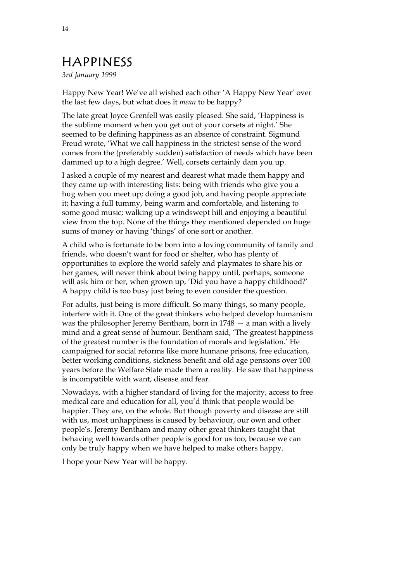## **HAPPINESS**

*3rd January 1999* 

Happy New Year! We've all wished each other 'A Happy New Year' over the last few days, but what does it *mean* to be happy?

The late great Joyce Grenfell was easily pleased. She said, 'Happiness is the sublime moment when you get out of your corsets at night.' She seemed to be defining happiness as an absence of constraint. Sigmund Freud wrote, 'What we call happiness in the strictest sense of the word comes from the (preferably sudden) satisfaction of needs which have been dammed up to a high degree.' Well, corsets certainly dam you up.

I asked a couple of my nearest and dearest what made them happy and they came up with interesting lists: being with friends who give you a hug when you meet up; doing a good job, and having people appreciate it; having a full tummy, being warm and comfortable, and listening to some good music; walking up a windswept hill and enjoying a beautiful view from the top. None of the things they mentioned depended on huge sums of money or having 'things' of one sort or another.

A child who is fortunate to be born into a loving community of family and friends, who doesn't want for food or shelter, who has plenty of opportunities to explore the world safely and playmates to share his or her games, will never think about being happy until, perhaps, someone will ask him or her, when grown up, 'Did you have a happy childhood?' A happy child is too busy just being to even consider the question.

For adults, just being is more difficult. So many things, so many people, interfere with it. One of the great thinkers who helped develop humanism was the philosopher Jeremy Bentham, born in  $1748 - a$  man with a lively mind and a great sense of humour. Bentham said, 'The greatest happiness of the greatest number is the foundation of morals and legislation.' He campaigned for social reforms like more humane prisons, free education, better working conditions, sickness benefit and old age pensions over 100 years before the Welfare State made them a reality. He saw that happiness is incompatible with want, disease and fear.

Nowadays, with a higher standard of living for the majority, access to free medical care and education for all, you'd think that people would be happier. They are, on the whole. But though poverty and disease are still with us, most unhappiness is caused by behaviour, our own and other people's. Jeremy Bentham and many other great thinkers taught that behaving well towards other people is good for us too, because we can only be truly happy when we have helped to make others happy.

I hope your New Year will be happy.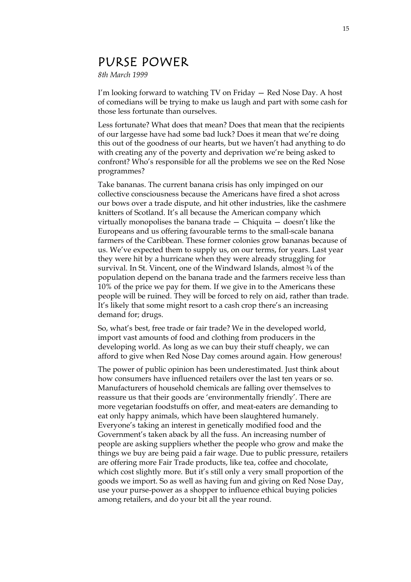#### **PURSE POWER**

*8th March 1999* 

I'm looking forward to watching TV on Friday — Red Nose Day. A host of comedians will be trying to make us laugh and part with some cash for those less fortunate than ourselves.

Less fortunate? What does that mean? Does that mean that the recipients of our largesse have had some bad luck? Does it mean that we're doing this out of the goodness of our hearts, but we haven't had anything to do with creating any of the poverty and deprivation we're being asked to confront? Who's responsible for all the problems we see on the Red Nose programmes?

Take bananas. The current banana crisis has only impinged on our collective consciousness because the Americans have fired a shot across our bows over a trade dispute, and hit other industries, like the cashmere knitters of Scotland. It's all because the American company which virtually monopolises the banana trade — Chiquita — doesn't like the Europeans and us offering favourable terms to the small-scale banana farmers of the Caribbean. These former colonies grow bananas because of us. We've expected them to supply us, on our terms, for years. Last year they were hit by a hurricane when they were already struggling for survival. In St. Vincent, one of the Windward Islands, almost 3/4 of the population depend on the banana trade and the farmers receive less than 10% of the price we pay for them. If we give in to the Americans these people will be ruined. They will be forced to rely on aid, rather than trade. It's likely that some might resort to a cash crop there's an increasing demand for; drugs.

So, what's best, free trade or fair trade? We in the developed world, import vast amounts of food and clothing from producers in the developing world. As long as we can buy their stuff cheaply, we can afford to give when Red Nose Day comes around again. How generous!

The power of public opinion has been underestimated. Just think about how consumers have influenced retailers over the last ten years or so. Manufacturers of household chemicals are falling over themselves to reassure us that their goods are 'environmentally friendly'. There are more vegetarian foodstuffs on offer, and meat-eaters are demanding to eat only happy animals, which have been slaughtered humanely. Everyone's taking an interest in genetically modified food and the Government's taken aback by all the fuss. An increasing number of people are asking suppliers whether the people who grow and make the things we buy are being paid a fair wage. Due to public pressure, retailers are offering more Fair Trade products, like tea, coffee and chocolate, which cost slightly more. But it's still only a very small proportion of the goods we import. So as well as having fun and giving on Red Nose Day, use your purse-power as a shopper to influence ethical buying policies among retailers, and do your bit all the year round.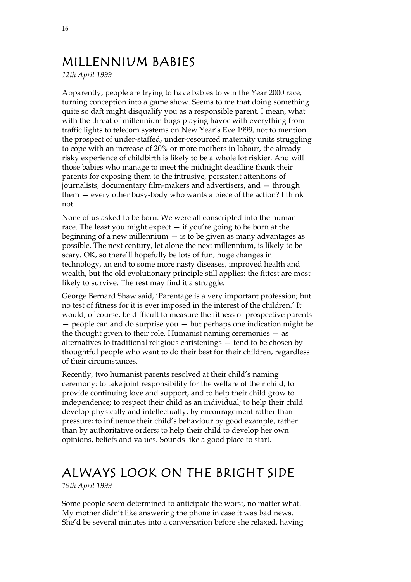### **MILLENNIUM BABIES**

*12th April 1999* 

Apparently, people are trying to have babies to win the Year 2000 race, turning conception into a game show. Seems to me that doing something quite so daft might disqualify you as a responsible parent. I mean, what with the threat of millennium bugs playing havoc with everything from traffic lights to telecom systems on New Year's Eve 1999, not to mention the prospect of under-staffed, under-resourced maternity units struggling to cope with an increase of 20% or more mothers in labour, the already risky experience of childbirth is likely to be a whole lot riskier. And will those babies who manage to meet the midnight deadline thank their parents for exposing them to the intrusive, persistent attentions of journalists, documentary film-makers and advertisers, and — through them — every other busy-body who wants a piece of the action? I think not.

None of us asked to be born. We were all conscripted into the human race. The least you might expect — if you're going to be born at the beginning of a new millennium  $-$  is to be given as many advantages as possible. The next century, let alone the next millennium, is likely to be scary. OK, so there'll hopefully be lots of fun, huge changes in technology, an end to some more nasty diseases, improved health and wealth, but the old evolutionary principle still applies: the fittest are most likely to survive. The rest may find it a struggle.

George Bernard Shaw said, 'Parentage is a very important profession; but no test of fitness for it is ever imposed in the interest of the children.' It would, of course, be difficult to measure the fitness of prospective parents — people can and do surprise you — but perhaps one indication might be the thought given to their role. Humanist naming ceremonies — as alternatives to traditional religious christenings — tend to be chosen by thoughtful people who want to do their best for their children, regardless of their circumstances.

Recently, two humanist parents resolved at their child's naming ceremony: to take joint responsibility for the welfare of their child; to provide continuing love and support, and to help their child grow to independence; to respect their child as an individual; to help their child develop physically and intellectually, by encouragement rather than pressure; to influence their child's behaviour by good example, rather than by authoritative orders; to help their child to develop her own opinions, beliefs and values. Sounds like a good place to start.

# **ALWAYS LOOK ON THE BRIGHT SIDE**

*19th April 1999* 

Some people seem determined to anticipate the worst, no matter what. My mother didn't like answering the phone in case it was bad news. She'd be several minutes into a conversation before she relaxed, having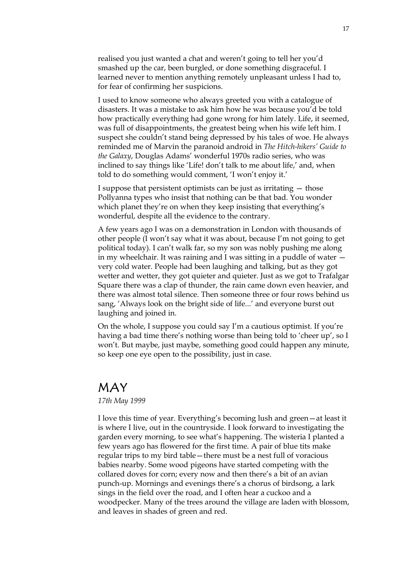realised you just wanted a chat and weren't going to tell her you'd smashed up the car, been burgled, or done something disgraceful. I learned never to mention anything remotely unpleasant unless I had to, for fear of confirming her suspicions.

I used to know someone who always greeted you with a catalogue of disasters. It was a mistake to ask him how he was because you'd be told how practically everything had gone wrong for him lately. Life, it seemed, was full of disappointments, the greatest being when his wife left him. I suspect she couldn't stand being depressed by his tales of woe. He always reminded me of Marvin the paranoid android in *The Hitch-hikers' Guide to the Galaxy*, Douglas Adams' wonderful 1970s radio series, who was inclined to say things like 'Life! don't talk to me about life,' and, when told to do something would comment, 'I won't enjoy it.'

I suppose that persistent optimists can be just as irritating — those Pollyanna types who insist that nothing can be that bad. You wonder which planet they're on when they keep insisting that everything's wonderful, despite all the evidence to the contrary.

A few years ago I was on a demonstration in London with thousands of other people (I won't say what it was about, because I'm not going to get political today). I can't walk far, so my son was nobly pushing me along in my wheelchair. It was raining and I was sitting in a puddle of water very cold water. People had been laughing and talking, but as they got wetter and wetter, they got quieter and quieter. Just as we got to Trafalgar Square there was a clap of thunder, the rain came down even heavier, and there was almost total silence. Then someone three or four rows behind us sang, 'Always look on the bright side of life...' and everyone burst out laughing and joined in.

On the whole, I suppose you could say I'm a cautious optimist. If you're having a bad time there's nothing worse than being told to 'cheer up', so I won't. But maybe, just maybe, something good could happen any minute, so keep one eye open to the possibility, just in case.

#### **MAY**

#### *17th May 1999*

I love this time of year. Everything's becoming lush and green—at least it is where I live, out in the countryside. I look forward to investigating the garden every morning, to see what's happening. The wisteria I planted a few years ago has flowered for the first time. A pair of blue tits make regular trips to my bird table—there must be a nest full of voracious babies nearby. Some wood pigeons have started competing with the collared doves for corn; every now and then there's a bit of an avian punch-up. Mornings and evenings there's a chorus of birdsong, a lark sings in the field over the road, and I often hear a cuckoo and a woodpecker. Many of the trees around the village are laden with blossom, and leaves in shades of green and red.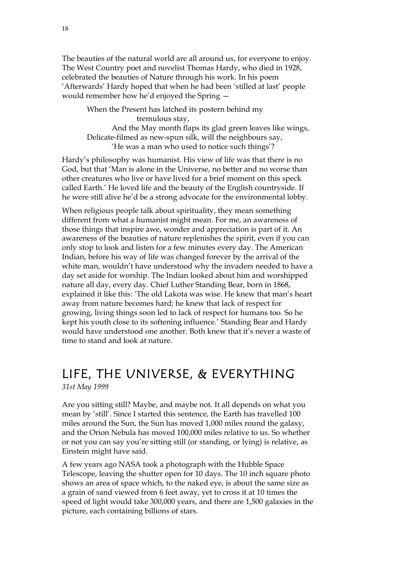The beauties of the natural world are all around us, for everyone to enjoy. The West Country poet and novelist Thomas Hardy, who died in 1928, celebrated the beauties of Nature through his work. In his poem 'Afterwards' Hardy hoped that when he had been 'stilled at last' people would remember how he'd enjoyed the Spring —

When the Present has latched its postern behind my tremulous stay, And the May month flaps its glad green leaves like wings, Delicate-filmed as new-spun silk, will the neighbours say, 'He was a man who used to notice such things'?

Hardy's philosophy was humanist. His view of life was that there is no God, but that 'Man is alone in the Universe, no better and no worse than other creatures who live or have lived for a brief moment on this speck called Earth.' He loved life and the beauty of the English countryside. If he were still alive he'd be a strong advocate for the environmental lobby.

When religious people talk about spirituality, they mean something different from what a humanist might mean. For me, an awareness of those things that inspire awe, wonder and appreciation is part of it. An awareness of the beauties of nature replenishes the spirit, even if you can only stop to look and listen for a few minutes every day. The American Indian, before his way of life was changed forever by the arrival of the white man, wouldn't have understood why the invaders needed to have a day set aside for worship. The Indian looked about him and worshipped nature all day, every day. Chief Luther Standing Bear, born in 1868, explained it like this: 'The old Lakota was wise. He knew that man's heart away from nature becomes hard; he knew that lack of respect for growing, living things soon led to lack of respect for humans too. So he kept his youth close to its softening influence.' Standing Bear and Hardy would have understood one another. Both knew that it's never a waste of time to stand and look at nature.

#### **LIFE, THE UNIVERSE, & EVERYTHING**  *31st May 1999*

Are you sitting still? Maybe, and maybe not. It all depends on what you mean by 'still'. Since I started this sentence, the Earth has travelled 100 miles around the Sun, the Sun has moved 1,000 miles round the galaxy, and the Orion Nebula has moved 100,000 miles relative to us. So whether or not you can say you're sitting still (or standing, or lying) is relative, as Einstein might have said.

A few years ago NASA took a photograph with the Hubble Space Telescope, leaving the shutter open for 10 days. The 10 inch square photo shows an area of space which, to the naked eye, is about the same size as a grain of sand viewed from 6 feet away, yet to cross it at 10 times the speed of light would take 300,000 years, and there are 1,500 galaxies in the picture, each containing billions of stars.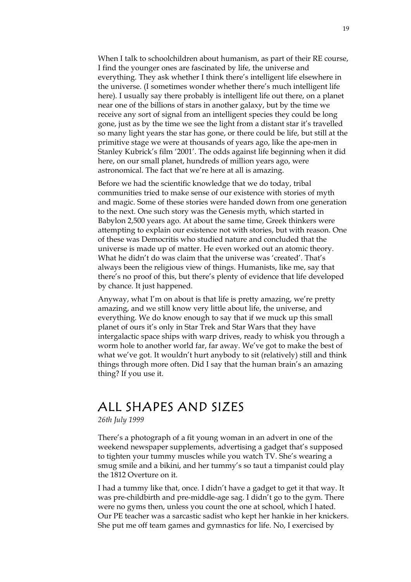When I talk to schoolchildren about humanism, as part of their RE course, I find the younger ones are fascinated by life, the universe and everything. They ask whether I think there's intelligent life elsewhere in the universe. (I sometimes wonder whether there's much intelligent life here). I usually say there probably is intelligent life out there, on a planet near one of the billions of stars in another galaxy, but by the time we receive any sort of signal from an intelligent species they could be long gone, just as by the time we see the light from a distant star it's travelled so many light years the star has gone, or there could be life, but still at the primitive stage we were at thousands of years ago, like the ape-men in Stanley Kubrick's film '2001'. The odds against life beginning when it did here, on our small planet, hundreds of million years ago, were astronomical. The fact that we're here at all is amazing.

Before we had the scientific knowledge that we do today, tribal communities tried to make sense of our existence with stories of myth and magic. Some of these stories were handed down from one generation to the next. One such story was the Genesis myth, which started in Babylon 2,500 years ago. At about the same time, Greek thinkers were attempting to explain our existence not with stories, but with reason. One of these was Democritis who studied nature and concluded that the universe is made up of matter. He even worked out an atomic theory. What he didn't do was claim that the universe was 'created'. That's always been the religious view of things. Humanists, like me, say that there's no proof of this, but there's plenty of evidence that life developed by chance. It just happened.

Anyway, what I'm on about is that life is pretty amazing, we're pretty amazing, and we still know very little about life, the universe, and everything. We do know enough to say that if we muck up this small planet of ours it's only in Star Trek and Star Wars that they have intergalactic space ships with warp drives, ready to whisk you through a worm hole to another world far, far away. We've got to make the best of what we've got. It wouldn't hurt anybody to sit (relatively) still and think things through more often. Did I say that the human brain's an amazing thing? If you use it.

#### **ALL SHAPES AND SIZES**

*26th July 1999* 

There's a photograph of a fit young woman in an advert in one of the weekend newspaper supplements, advertising a gadget that's supposed to tighten your tummy muscles while you watch TV. She's wearing a smug smile and a bikini, and her tummy's so taut a timpanist could play the 1812 Overture on it.

I had a tummy like that, once. I didn't have a gadget to get it that way. It was pre-childbirth and pre-middle-age sag. I didn't go to the gym. There were no gyms then, unless you count the one at school, which I hated. Our PE teacher was a sarcastic sadist who kept her hankie in her knickers. She put me off team games and gymnastics for life. No, I exercised by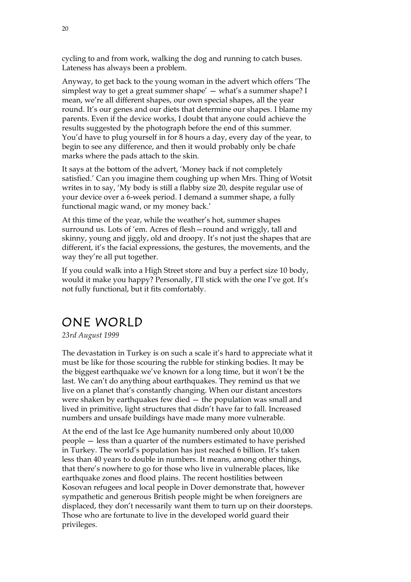cycling to and from work, walking the dog and running to catch buses. Lateness has always been a problem.

Anyway, to get back to the young woman in the advert which offers 'The simplest way to get a great summer shape' — what's a summer shape? I mean, we're all different shapes, our own special shapes, all the year round. It's our genes and our diets that determine our shapes. I blame my parents. Even if the device works, I doubt that anyone could achieve the results suggested by the photograph before the end of this summer. You'd have to plug yourself in for 8 hours a day, every day of the year, to begin to see any difference, and then it would probably only be chafe marks where the pads attach to the skin.

It says at the bottom of the advert, 'Money back if not completely satisfied.' Can you imagine them coughing up when Mrs. Thing of Wotsit writes in to say, 'My body is still a flabby size 20, despite regular use of your device over a 6-week period. I demand a summer shape, a fully functional magic wand, or my money back.'

At this time of the year, while the weather's hot, summer shapes surround us. Lots of 'em. Acres of flesh—round and wriggly, tall and skinny, young and jiggly, old and droopy. It's not just the shapes that are different, it's the facial expressions, the gestures, the movements, and the way they're all put together.

If you could walk into a High Street store and buy a perfect size 10 body, would it make you happy? Personally, I'll stick with the one I've got. It's not fully functional, but it fits comfortably.

#### **ONE WORLD**

*23rd August 1999* 

The devastation in Turkey is on such a scale it's hard to appreciate what it must be like for those scouring the rubble for stinking bodies. It may be the biggest earthquake we've known for a long time, but it won't be the last. We can't do anything about earthquakes. They remind us that we live on a planet that's constantly changing. When our distant ancestors were shaken by earthquakes few died — the population was small and lived in primitive, light structures that didn't have far to fall. Increased numbers and unsafe buildings have made many more vulnerable.

At the end of the last Ice Age humanity numbered only about 10,000 people — less than a quarter of the numbers estimated to have perished in Turkey. The world's population has just reached 6 billion. It's taken less than 40 years to double in numbers. It means, among other things, that there's nowhere to go for those who live in vulnerable places, like earthquake zones and flood plains. The recent hostilities between Kosovan refugees and local people in Dover demonstrate that, however sympathetic and generous British people might be when foreigners are displaced, they don't necessarily want them to turn up on their doorsteps. Those who are fortunate to live in the developed world guard their privileges.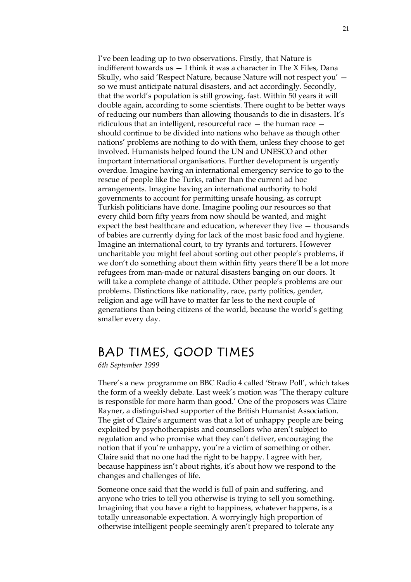I've been leading up to two observations. Firstly, that Nature is indifferent towards us  $-$  I think it was a character in The X Files, Dana Skully, who said 'Respect Nature, because Nature will not respect you' so we must anticipate natural disasters, and act accordingly. Secondly, that the world's population is still growing, fast. Within 50 years it will double again, according to some scientists. There ought to be better ways of reducing our numbers than allowing thousands to die in disasters. It's ridiculous that an intelligent, resourceful race — the human race should continue to be divided into nations who behave as though other nations' problems are nothing to do with them, unless they choose to get involved. Humanists helped found the UN and UNESCO and other important international organisations. Further development is urgently overdue. Imagine having an international emergency service to go to the rescue of people like the Turks, rather than the current ad hoc arrangements. Imagine having an international authority to hold governments to account for permitting unsafe housing, as corrupt Turkish politicians have done. Imagine pooling our resources so that every child born fifty years from now should be wanted, and might expect the best healthcare and education, wherever they live — thousands of babies are currently dying for lack of the most basic food and hygiene. Imagine an international court, to try tyrants and torturers. However uncharitable you might feel about sorting out other people's problems, if we don't do something about them within fifty years there'll be a lot more refugees from man-made or natural disasters banging on our doors. It will take a complete change of attitude. Other people's problems are our problems. Distinctions like nationality, race, party politics, gender, religion and age will have to matter far less to the next couple of generations than being citizens of the world, because the world's getting smaller every day.

#### **BAD TIMES, GOOD TIMES**

*6th September 1999* 

There's a new programme on BBC Radio 4 called 'Straw Poll', which takes the form of a weekly debate. Last week's motion was 'The therapy culture is responsible for more harm than good.' One of the proposers was Claire Rayner, a distinguished supporter of the British Humanist Association. The gist of Claire's argument was that a lot of unhappy people are being exploited by psychotherapists and counsellors who aren't subject to regulation and who promise what they can't deliver, encouraging the notion that if you're unhappy, you're a victim of something or other. Claire said that no one had the right to be happy. I agree with her, because happiness isn't about rights, it's about how we respond to the changes and challenges of life.

Someone once said that the world is full of pain and suffering, and anyone who tries to tell you otherwise is trying to sell you something. Imagining that you have a right to happiness, whatever happens, is a totally unreasonable expectation. A worryingly high proportion of otherwise intelligent people seemingly aren't prepared to tolerate any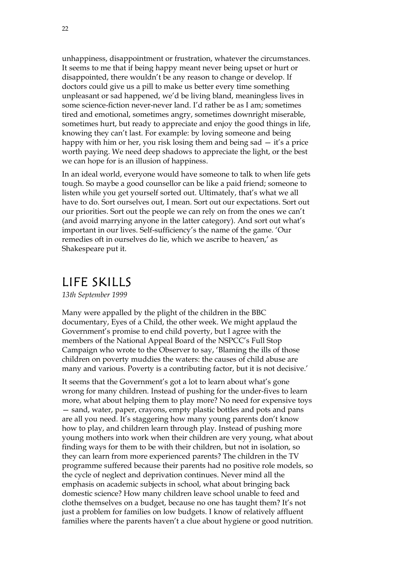unhappiness, disappointment or frustration, whatever the circumstances. It seems to me that if being happy meant never being upset or hurt or disappointed, there wouldn't be any reason to change or develop. If doctors could give us a pill to make us better every time something unpleasant or sad happened, we'd be living bland, meaningless lives in some science-fiction never-never land. I'd rather be as I am; sometimes tired and emotional, sometimes angry, sometimes downright miserable, sometimes hurt, but ready to appreciate and enjoy the good things in life, knowing they can't last. For example: by loving someone and being happy with him or her, you risk losing them and being sad — it's a price worth paying. We need deep shadows to appreciate the light, or the best we can hope for is an illusion of happiness.

In an ideal world, everyone would have someone to talk to when life gets tough. So maybe a good counsellor can be like a paid friend; someone to listen while you get yourself sorted out. Ultimately, that's what we all have to do. Sort ourselves out, I mean. Sort out our expectations. Sort out our priorities. Sort out the people we can rely on from the ones we can't (and avoid marrying anyone in the latter category). And sort out what's important in our lives. Self-sufficiency's the name of the game. 'Our remedies oft in ourselves do lie, which we ascribe to heaven,' as Shakespeare put it.

#### **LIFE SKILLS**

*13th September 1999* 

Many were appalled by the plight of the children in the BBC documentary, Eyes of a Child, the other week. We might applaud the Government's promise to end child poverty, but I agree with the members of the National Appeal Board of the NSPCC's Full Stop Campaign who wrote to the Observer to say, 'Blaming the ills of those children on poverty muddies the waters: the causes of child abuse are many and various. Poverty is a contributing factor, but it is not decisive.'

It seems that the Government's got a lot to learn about what's gone wrong for many children. Instead of pushing for the under-fives to learn more, what about helping them to play more? No need for expensive toys — sand, water, paper, crayons, empty plastic bottles and pots and pans are all you need. It's staggering how many young parents don't know how to play, and children learn through play. Instead of pushing more young mothers into work when their children are very young, what about finding ways for them to be with their children, but not in isolation, so they can learn from more experienced parents? The children in the TV programme suffered because their parents had no positive role models, so the cycle of neglect and deprivation continues. Never mind all the emphasis on academic subjects in school, what about bringing back domestic science? How many children leave school unable to feed and clothe themselves on a budget, because no one has taught them? It's not just a problem for families on low budgets. I know of relatively affluent families where the parents haven't a clue about hygiene or good nutrition.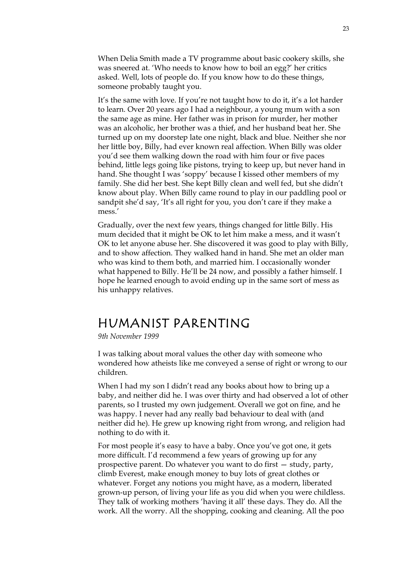When Delia Smith made a TV programme about basic cookery skills, she was sneered at. 'Who needs to know how to boil an egg?' her critics asked. Well, lots of people do. If you know how to do these things, someone probably taught you.

It's the same with love. If you're not taught how to do it, it's a lot harder to learn. Over 20 years ago I had a neighbour, a young mum with a son the same age as mine. Her father was in prison for murder, her mother was an alcoholic, her brother was a thief, and her husband beat her. She turned up on my doorstep late one night, black and blue. Neither she nor her little boy, Billy, had ever known real affection. When Billy was older you'd see them walking down the road with him four or five paces behind, little legs going like pistons, trying to keep up, but never hand in hand. She thought I was 'soppy' because I kissed other members of my family. She did her best. She kept Billy clean and well fed, but she didn't know about play. When Billy came round to play in our paddling pool or sandpit she'd say, 'It's all right for you, you don't care if they make a mess.'

Gradually, over the next few years, things changed for little Billy. His mum decided that it might be OK to let him make a mess, and it wasn't OK to let anyone abuse her. She discovered it was good to play with Billy, and to show affection. They walked hand in hand. She met an older man who was kind to them both, and married him. I occasionally wonder what happened to Billy. He'll be 24 now, and possibly a father himself. I hope he learned enough to avoid ending up in the same sort of mess as his unhappy relatives.

#### **HUMANIST PARENTING**

*9th November 1999* 

I was talking about moral values the other day with someone who wondered how atheists like me conveyed a sense of right or wrong to our children.

When I had my son I didn't read any books about how to bring up a baby, and neither did he. I was over thirty and had observed a lot of other parents, so I trusted my own judgement. Overall we got on fine, and he was happy. I never had any really bad behaviour to deal with (and neither did he). He grew up knowing right from wrong, and religion had nothing to do with it.

For most people it's easy to have a baby. Once you've got one, it gets more difficult. I'd recommend a few years of growing up for any prospective parent. Do whatever you want to do first — study, party, climb Everest, make enough money to buy lots of great clothes or whatever. Forget any notions you might have, as a modern, liberated grown-up person, of living your life as you did when you were childless. They talk of working mothers 'having it all' these days. They do. All the work. All the worry. All the shopping, cooking and cleaning. All the poo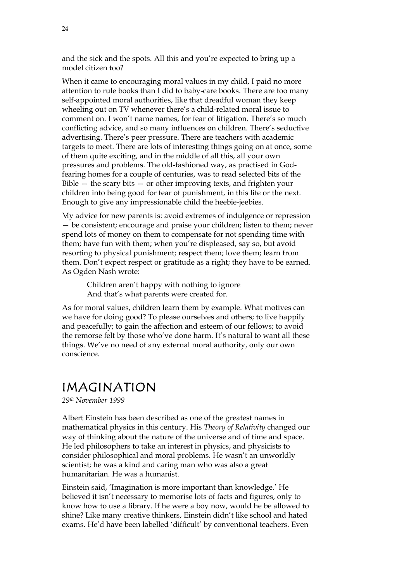and the sick and the spots. All this and you're expected to bring up a model citizen too?

When it came to encouraging moral values in my child, I paid no more attention to rule books than I did to baby-care books. There are too many self-appointed moral authorities, like that dreadful woman they keep wheeling out on TV whenever there's a child-related moral issue to comment on. I won't name names, for fear of litigation. There's so much conflicting advice, and so many influences on children. There's seductive advertising. There's peer pressure. There are teachers with academic targets to meet. There are lots of interesting things going on at once, some of them quite exciting, and in the middle of all this, all your own pressures and problems. The old-fashioned way, as practised in Godfearing homes for a couple of centuries, was to read selected bits of the Bible  $-$  the scary bits  $-$  or other improving texts, and frighten your children into being good for fear of punishment, in this life or the next. Enough to give any impressionable child the heebie-jeebies.

My advice for new parents is: avoid extremes of indulgence or repression — be consistent; encourage and praise your children; listen to them; never spend lots of money on them to compensate for not spending time with them; have fun with them; when you're displeased, say so, but avoid resorting to physical punishment; respect them; love them; learn from them. Don't expect respect or gratitude as a right; they have to be earned. As Ogden Nash wrote:

Children aren't happy with nothing to ignore And that's what parents were created for.

As for moral values, children learn them by example. What motives can we have for doing good? To please ourselves and others; to live happily and peacefully; to gain the affection and esteem of our fellows; to avoid the remorse felt by those who've done harm. It's natural to want all these things. We've no need of any external moral authority, only our own conscience.

#### **IMAGINATION**

*29th November 1999* 

Albert Einstein has been described as one of the greatest names in mathematical physics in this century. His *Theory of Relativity* changed our way of thinking about the nature of the universe and of time and space. He led philosophers to take an interest in physics, and physicists to consider philosophical and moral problems. He wasn't an unworldly scientist; he was a kind and caring man who was also a great humanitarian. He was a humanist.

Einstein said, 'Imagination is more important than knowledge.' He believed it isn't necessary to memorise lots of facts and figures, only to know how to use a library. If he were a boy now, would he be allowed to shine? Like many creative thinkers, Einstein didn't like school and hated exams. He'd have been labelled 'difficult' by conventional teachers. Even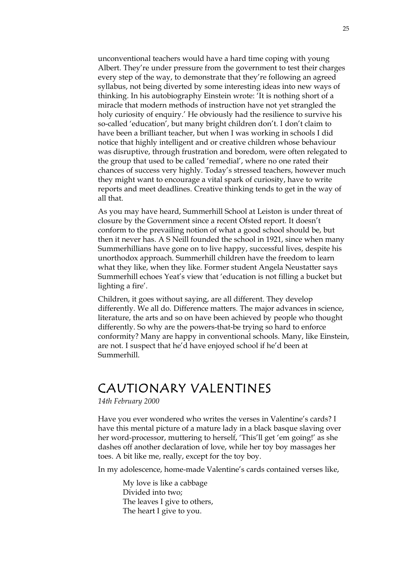unconventional teachers would have a hard time coping with young Albert. They're under pressure from the government to test their charges every step of the way, to demonstrate that they're following an agreed syllabus, not being diverted by some interesting ideas into new ways of thinking. In his autobiography Einstein wrote: 'It is nothing short of a miracle that modern methods of instruction have not yet strangled the holy curiosity of enquiry.' He obviously had the resilience to survive his so-called 'education', but many bright children don't. I don't claim to have been a brilliant teacher, but when I was working in schools I did notice that highly intelligent and or creative children whose behaviour was disruptive, through frustration and boredom, were often relegated to the group that used to be called 'remedial', where no one rated their chances of success very highly. Today's stressed teachers, however much they might want to encourage a vital spark of curiosity, have to write reports and meet deadlines. Creative thinking tends to get in the way of all that.

As you may have heard, Summerhill School at Leiston is under threat of closure by the Government since a recent Ofsted report. It doesn't conform to the prevailing notion of what a good school should be, but then it never has. A S Neill founded the school in 1921, since when many Summerhillians have gone on to live happy, successful lives, despite his unorthodox approach. Summerhill children have the freedom to learn what they like, when they like. Former student Angela Neustatter says Summerhill echoes Yeat's view that 'education is not filling a bucket but lighting a fire'.

Children, it goes without saying, are all different. They develop differently. We all do. Difference matters. The major advances in science, literature, the arts and so on have been achieved by people who thought differently. So why are the powers-that-be trying so hard to enforce conformity? Many are happy in conventional schools. Many, like Einstein, are not. I suspect that he'd have enjoyed school if he'd been at Summerhill.

#### **CAUTIONARY VALENTINES**

*14th February 2000* 

Have you ever wondered who writes the verses in Valentine's cards? I have this mental picture of a mature lady in a black basque slaving over her word-processor, muttering to herself, 'This'll get 'em going!' as she dashes off another declaration of love, while her toy boy massages her toes. A bit like me, really, except for the toy boy.

In my adolescence, home-made Valentine's cards contained verses like,

My love is like a cabbage Divided into two; The leaves I give to others, The heart I give to you.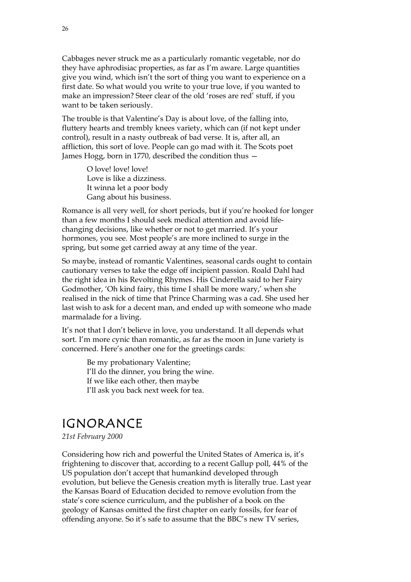Cabbages never struck me as a particularly romantic vegetable, nor do they have aphrodisiac properties, as far as I'm aware. Large quantities give you wind, which isn't the sort of thing you want to experience on a first date. So what would you write to your true love, if you wanted to make an impression? Steer clear of the old 'roses are red' stuff, if you want to be taken seriously.

The trouble is that Valentine's Day is about love, of the falling into, fluttery hearts and trembly knees variety, which can (if not kept under control), result in a nasty outbreak of bad verse. It is, after all, an affliction, this sort of love. People can go mad with it. The Scots poet James Hogg, born in 1770, described the condition thus —

> O love! love! love! Love is like a dizziness. It winna let a poor body Gang about his business.

Romance is all very well, for short periods, but if you're hooked for longer than a few months I should seek medical attention and avoid lifechanging decisions, like whether or not to get married. It's your hormones, you see. Most people's are more inclined to surge in the spring, but some get carried away at any time of the year.

So maybe, instead of romantic Valentines, seasonal cards ought to contain cautionary verses to take the edge off incipient passion. Roald Dahl had the right idea in his Revolting Rhymes. His Cinderella said to her Fairy Godmother, 'Oh kind fairy, this time I shall be more wary,' when she realised in the nick of time that Prince Charming was a cad. She used her last wish to ask for a decent man, and ended up with someone who made marmalade for a living.

It's not that I don't believe in love, you understand. It all depends what sort. I'm more cynic than romantic, as far as the moon in June variety is concerned. Here's another one for the greetings cards:

> Be my probationary Valentine; I'll do the dinner, you bring the wine. If we like each other, then maybe I'll ask you back next week for tea.

### **IGNORANCE**

*21st February 2000* 

Considering how rich and powerful the United States of America is, it's frightening to discover that, according to a recent Gallup poll, 44% of the US population don't accept that humankind developed through evolution, but believe the Genesis creation myth is literally true. Last year the Kansas Board of Education decided to remove evolution from the state's core science curriculum, and the publisher of a book on the geology of Kansas omitted the first chapter on early fossils, for fear of offending anyone. So it's safe to assume that the BBC's new TV series,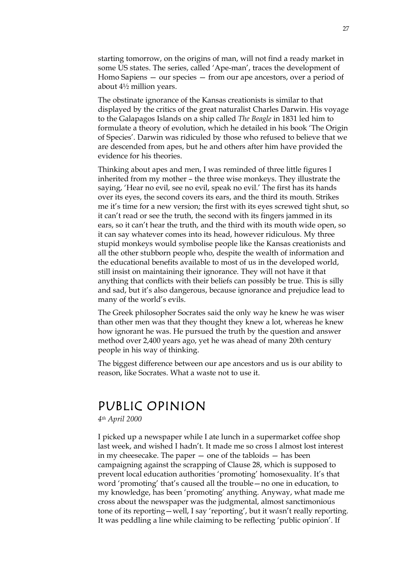starting tomorrow, on the origins of man, will not find a ready market in some US states. The series, called 'Ape-man', traces the development of Homo Sapiens — our species — from our ape ancestors, over a period of about 4½ million years.

The obstinate ignorance of the Kansas creationists is similar to that displayed by the critics of the great naturalist Charles Darwin. His voyage to the Galapagos Islands on a ship called *The Beagle* in 1831 led him to formulate a theory of evolution, which he detailed in his book 'The Origin of Species'. Darwin was ridiculed by those who refused to believe that we are descended from apes, but he and others after him have provided the evidence for his theories.

Thinking about apes and men, I was reminded of three little figures I inherited from my mother – the three wise monkeys. They illustrate the saying, 'Hear no evil, see no evil, speak no evil.' The first has its hands over its eyes, the second covers its ears, and the third its mouth. Strikes me it's time for a new version; the first with its eyes screwed tight shut, so it can't read or see the truth, the second with its fingers jammed in its ears, so it can't hear the truth, and the third with its mouth wide open, so it can say whatever comes into its head, however ridiculous. My three stupid monkeys would symbolise people like the Kansas creationists and all the other stubborn people who, despite the wealth of information and the educational benefits available to most of us in the developed world, still insist on maintaining their ignorance. They will not have it that anything that conflicts with their beliefs can possibly be true. This is silly and sad, but it's also dangerous, because ignorance and prejudice lead to many of the world's evils.

The Greek philosopher Socrates said the only way he knew he was wiser than other men was that they thought they knew a lot, whereas he knew how ignorant he was. He pursued the truth by the question and answer method over 2,400 years ago, yet he was ahead of many 20th century people in his way of thinking.

The biggest difference between our ape ancestors and us is our ability to reason, like Socrates. What a waste not to use it.

#### **PUBLIC OPINION**

*4th April 2000* 

I picked up a newspaper while I ate lunch in a supermarket coffee shop last week, and wished I hadn't. It made me so cross I almost lost interest in my cheesecake. The paper — one of the tabloids — has been campaigning against the scrapping of Clause 28, which is supposed to prevent local education authorities 'promoting' homosexuality. It's that word 'promoting' that's caused all the trouble—no one in education, to my knowledge, has been 'promoting' anything. Anyway, what made me cross about the newspaper was the judgmental, almost sanctimonious tone of its reporting—well, I say 'reporting', but it wasn't really reporting. It was peddling a line while claiming to be reflecting 'public opinion'. If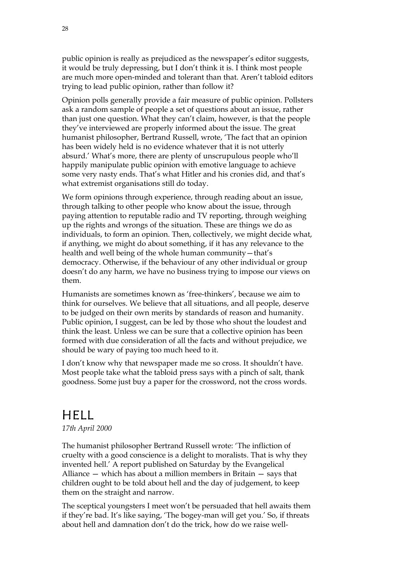public opinion is really as prejudiced as the newspaper's editor suggests, it would be truly depressing, but I don't think it is. I think most people are much more open-minded and tolerant than that. Aren't tabloid editors trying to lead public opinion, rather than follow it?

Opinion polls generally provide a fair measure of public opinion. Pollsters ask a random sample of people a set of questions about an issue, rather than just one question. What they can't claim, however, is that the people they've interviewed are properly informed about the issue. The great humanist philosopher, Bertrand Russell, wrote, 'The fact that an opinion has been widely held is no evidence whatever that it is not utterly absurd.' What's more, there are plenty of unscrupulous people who'll happily manipulate public opinion with emotive language to achieve some very nasty ends. That's what Hitler and his cronies did, and that's what extremist organisations still do today.

We form opinions through experience, through reading about an issue, through talking to other people who know about the issue, through paying attention to reputable radio and TV reporting, through weighing up the rights and wrongs of the situation. These are things we do as individuals, to form an opinion. Then, collectively, we might decide what, if anything, we might do about something, if it has any relevance to the health and well being of the whole human community—that's democracy. Otherwise, if the behaviour of any other individual or group doesn't do any harm, we have no business trying to impose our views on them.

Humanists are sometimes known as 'free-thinkers', because we aim to think for ourselves. We believe that all situations, and all people, deserve to be judged on their own merits by standards of reason and humanity. Public opinion, I suggest, can be led by those who shout the loudest and think the least. Unless we can be sure that a collective opinion has been formed with due consideration of all the facts and without prejudice, we should be wary of paying too much heed to it.

I don't know why that newspaper made me so cross. It shouldn't have. Most people take what the tabloid press says with a pinch of salt, thank goodness. Some just buy a paper for the crossword, not the cross words.

### **HELL**

*17th April 2000* 

The humanist philosopher Bertrand Russell wrote: 'The infliction of cruelty with a good conscience is a delight to moralists. That is why they invented hell.' A report published on Saturday by the Evangelical Alliance — which has about a million members in Britain — says that children ought to be told about hell and the day of judgement, to keep them on the straight and narrow.

The sceptical youngsters I meet won't be persuaded that hell awaits them if they're bad. It's like saying, 'The bogey-man will get you.' So, if threats about hell and damnation don't do the trick, how do we raise well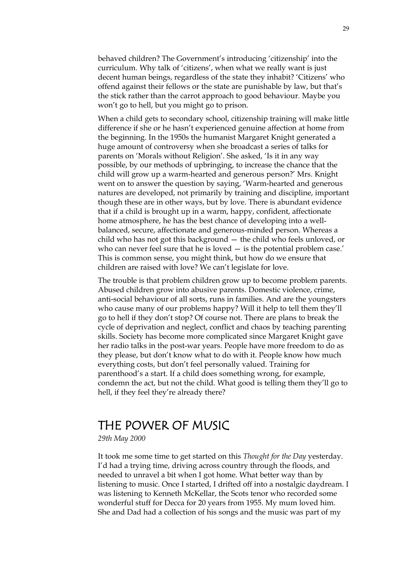behaved children? The Government's introducing 'citizenship' into the curriculum. Why talk of 'citizens', when what we really want is just decent human beings, regardless of the state they inhabit? 'Citizens' who offend against their fellows or the state are punishable by law, but that's the stick rather than the carrot approach to good behaviour. Maybe you won't go to hell, but you might go to prison.

When a child gets to secondary school, citizenship training will make little difference if she or he hasn't experienced genuine affection at home from the beginning. In the 1950s the humanist Margaret Knight generated a huge amount of controversy when she broadcast a series of talks for parents on 'Morals without Religion'. She asked, 'Is it in any way possible, by our methods of upbringing, to increase the chance that the child will grow up a warm-hearted and generous person?' Mrs. Knight went on to answer the question by saying, 'Warm-hearted and generous natures are developed, not primarily by training and discipline, important though these are in other ways, but by love. There is abundant evidence that if a child is brought up in a warm, happy, confident, affectionate home atmosphere, he has the best chance of developing into a wellbalanced, secure, affectionate and generous-minded person. Whereas a child who has not got this background — the child who feels unloved, or who can never feel sure that he is loved — is the potential problem case.' This is common sense, you might think, but how do we ensure that children are raised with love? We can't legislate for love.

The trouble is that problem children grow up to become problem parents. Abused children grow into abusive parents. Domestic violence, crime, anti-social behaviour of all sorts, runs in families. And are the youngsters who cause many of our problems happy? Will it help to tell them they'll go to hell if they don't stop? Of course not. There are plans to break the cycle of deprivation and neglect, conflict and chaos by teaching parenting skills. Society has become more complicated since Margaret Knight gave her radio talks in the post-war years. People have more freedom to do as they please, but don't know what to do with it. People know how much everything costs, but don't feel personally valued. Training for parenthood's a start. If a child does something wrong, for example, condemn the act, but not the child. What good is telling them they'll go to hell, if they feel they're already there?

### **THE POWER OF MUSIC**

*29th May 2000* 

It took me some time to get started on this *Thought for the Day* yesterday. I'd had a trying time, driving across country through the floods, and needed to unravel a bit when I got home. What better way than by listening to music. Once I started, I drifted off into a nostalgic daydream. I was listening to Kenneth McKellar, the Scots tenor who recorded some wonderful stuff for Decca for 20 years from 1955. My mum loved him. She and Dad had a collection of his songs and the music was part of my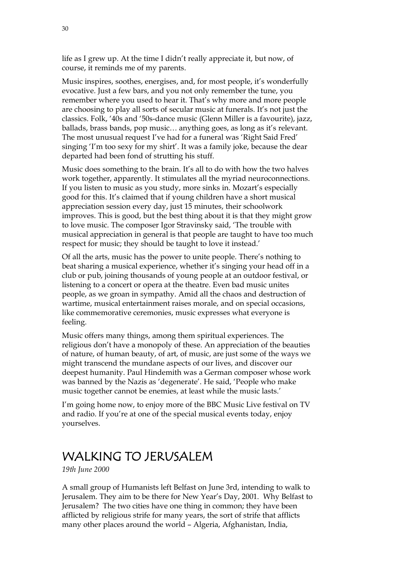life as I grew up. At the time I didn't really appreciate it, but now, of course, it reminds me of my parents.

Music inspires, soothes, energises, and, for most people, it's wonderfully evocative. Just a few bars, and you not only remember the tune, you remember where you used to hear it. That's why more and more people are choosing to play all sorts of secular music at funerals. It's not just the classics. Folk, '40s and '50s-dance music (Glenn Miller is a favourite), jazz, ballads, brass bands, pop music… anything goes, as long as it's relevant. The most unusual request I've had for a funeral was 'Right Said Fred' singing 'I'm too sexy for my shirt'. It was a family joke, because the dear departed had been fond of strutting his stuff.

Music does something to the brain. It's all to do with how the two halves work together, apparently. It stimulates all the myriad neuroconnections. If you listen to music as you study, more sinks in. Mozart's especially good for this. It's claimed that if young children have a short musical appreciation session every day, just 15 minutes, their schoolwork improves. This is good, but the best thing about it is that they might grow to love music. The composer Igor Stravinsky said, 'The trouble with musical appreciation in general is that people are taught to have too much respect for music; they should be taught to love it instead.'

Of all the arts, music has the power to unite people. There's nothing to beat sharing a musical experience, whether it's singing your head off in a club or pub, joining thousands of young people at an outdoor festival, or listening to a concert or opera at the theatre. Even bad music unites people, as we groan in sympathy. Amid all the chaos and destruction of wartime, musical entertainment raises morale, and on special occasions, like commemorative ceremonies, music expresses what everyone is feeling.

Music offers many things, among them spiritual experiences. The religious don't have a monopoly of these. An appreciation of the beauties of nature, of human beauty, of art, of music, are just some of the ways we might transcend the mundane aspects of our lives, and discover our deepest humanity. Paul Hindemith was a German composer whose work was banned by the Nazis as 'degenerate'. He said, 'People who make music together cannot be enemies, at least while the music lasts.'

I'm going home now, to enjoy more of the BBC Music Live festival on TV and radio. If you're at one of the special musical events today, enjoy yourselves.

### **WALKING TO JERUSALEM**

*19th June 2000* 

A small group of Humanists left Belfast on June 3rd, intending to walk to Jerusalem. They aim to be there for New Year's Day, 2001. Why Belfast to Jerusalem? The two cities have one thing in common; they have been afflicted by religious strife for many years, the sort of strife that afflicts many other places around the world – Algeria, Afghanistan, India,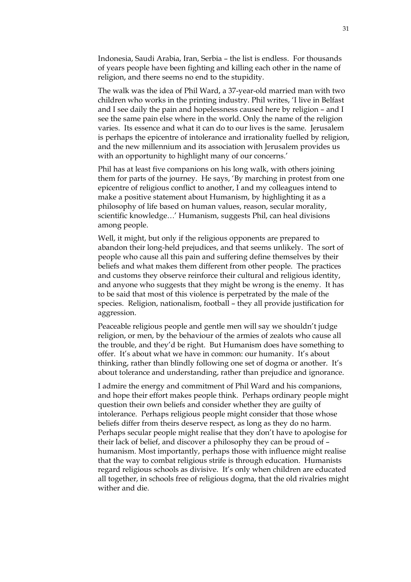Indonesia, Saudi Arabia, Iran, Serbia – the list is endless. For thousands of years people have been fighting and killing each other in the name of religion, and there seems no end to the stupidity.

The walk was the idea of Phil Ward, a 37-year-old married man with two children who works in the printing industry. Phil writes, 'I live in Belfast and I see daily the pain and hopelessness caused here by religion – and I see the same pain else where in the world. Only the name of the religion varies. Its essence and what it can do to our lives is the same. Jerusalem is perhaps the epicentre of intolerance and irrationality fuelled by religion, and the new millennium and its association with Jerusalem provides us with an opportunity to highlight many of our concerns.'

Phil has at least five companions on his long walk, with others joining them for parts of the journey. He says, 'By marching in protest from one epicentre of religious conflict to another, I and my colleagues intend to make a positive statement about Humanism, by highlighting it as a philosophy of life based on human values, reason, secular morality, scientific knowledge…' Humanism, suggests Phil, can heal divisions among people.

Well, it might, but only if the religious opponents are prepared to abandon their long-held prejudices, and that seems unlikely. The sort of people who cause all this pain and suffering define themselves by their beliefs and what makes them different from other people. The practices and customs they observe reinforce their cultural and religious identity, and anyone who suggests that they might be wrong is the enemy. It has to be said that most of this violence is perpetrated by the male of the species. Religion, nationalism, football – they all provide justification for aggression.

Peaceable religious people and gentle men will say we shouldn't judge religion, or men, by the behaviour of the armies of zealots who cause all the trouble, and they'd be right. But Humanism does have something to offer. It's about what we have in common: our humanity. It's about thinking, rather than blindly following one set of dogma or another. It's about tolerance and understanding, rather than prejudice and ignorance.

I admire the energy and commitment of Phil Ward and his companions, and hope their effort makes people think. Perhaps ordinary people might question their own beliefs and consider whether they are guilty of intolerance. Perhaps religious people might consider that those whose beliefs differ from theirs deserve respect, as long as they do no harm. Perhaps secular people might realise that they don't have to apologise for their lack of belief, and discover a philosophy they can be proud of – humanism. Most importantly, perhaps those with influence might realise that the way to combat religious strife is through education. Humanists regard religious schools as divisive. It's only when children are educated all together, in schools free of religious dogma, that the old rivalries might wither and die.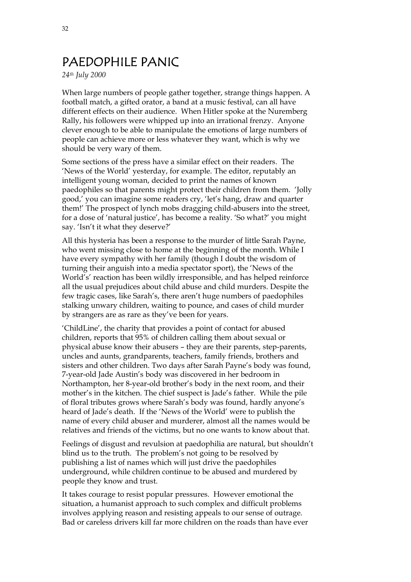### **PAEDOPHILE PANIC**

*24th July 2000* 

When large numbers of people gather together, strange things happen. A football match, a gifted orator, a band at a music festival, can all have different effects on their audience. When Hitler spoke at the Nuremberg Rally, his followers were whipped up into an irrational frenzy. Anyone clever enough to be able to manipulate the emotions of large numbers of people can achieve more or less whatever they want, which is why we should be very wary of them.

Some sections of the press have a similar effect on their readers. The 'News of the World' yesterday, for example. The editor, reputably an intelligent young woman, decided to print the names of known paedophiles so that parents might protect their children from them. 'Jolly good,' you can imagine some readers cry, 'let's hang, draw and quarter them!' The prospect of lynch mobs dragging child-abusers into the street, for a dose of 'natural justice', has become a reality. 'So what?' you might say. 'Isn't it what they deserve?'

All this hysteria has been a response to the murder of little Sarah Payne, who went missing close to home at the beginning of the month. While I have every sympathy with her family (though I doubt the wisdom of turning their anguish into a media spectator sport), the 'News of the World's' reaction has been wildly irresponsible, and has helped reinforce all the usual prejudices about child abuse and child murders. Despite the few tragic cases, like Sarah's, there aren't huge numbers of paedophiles stalking unwary children, waiting to pounce, and cases of child murder by strangers are as rare as they've been for years.

'ChildLine', the charity that provides a point of contact for abused children, reports that 95% of children calling them about sexual or physical abuse know their abusers – they are their parents, step-parents, uncles and aunts, grandparents, teachers, family friends, brothers and sisters and other children. Two days after Sarah Payne's body was found, 7-year-old Jade Austin's body was discovered in her bedroom in Northampton, her 8-year-old brother's body in the next room, and their mother's in the kitchen. The chief suspect is Jade's father. While the pile of floral tributes grows where Sarah's body was found, hardly anyone's heard of Jade's death. If the 'News of the World' were to publish the name of every child abuser and murderer, almost all the names would be relatives and friends of the victims, but no one wants to know about that.

Feelings of disgust and revulsion at paedophilia are natural, but shouldn't blind us to the truth. The problem's not going to be resolved by publishing a list of names which will just drive the paedophiles underground, while children continue to be abused and murdered by people they know and trust.

It takes courage to resist popular pressures. However emotional the situation, a humanist approach to such complex and difficult problems involves applying reason and resisting appeals to our sense of outrage. Bad or careless drivers kill far more children on the roads than have ever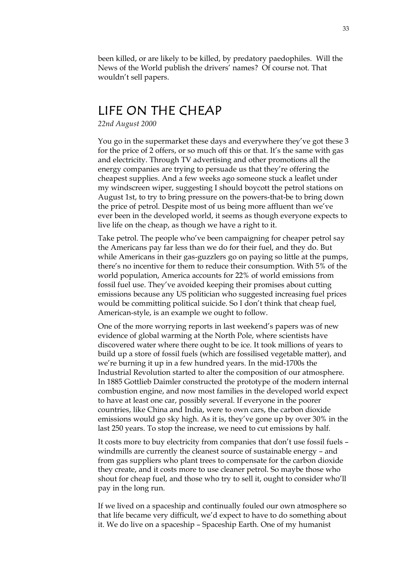been killed, or are likely to be killed, by predatory paedophiles. Will the News of the World publish the drivers' names? Of course not. That wouldn't sell papers.

#### **LIFE ON THE CHEAP**

*22nd August 2000* 

You go in the supermarket these days and everywhere they've got these 3 for the price of 2 offers, or so much off this or that. It's the same with gas and electricity. Through TV advertising and other promotions all the energy companies are trying to persuade us that they're offering the cheapest supplies. And a few weeks ago someone stuck a leaflet under my windscreen wiper, suggesting I should boycott the petrol stations on August 1st, to try to bring pressure on the powers-that-be to bring down the price of petrol. Despite most of us being more affluent than we've ever been in the developed world, it seems as though everyone expects to live life on the cheap, as though we have a right to it.

Take petrol. The people who've been campaigning for cheaper petrol say the Americans pay far less than we do for their fuel, and they do. But while Americans in their gas-guzzlers go on paying so little at the pumps, there's no incentive for them to reduce their consumption. With 5% of the world population, America accounts for 22% of world emissions from fossil fuel use. They've avoided keeping their promises about cutting emissions because any US politician who suggested increasing fuel prices would be committing political suicide. So I don't think that cheap fuel, American-style, is an example we ought to follow.

One of the more worrying reports in last weekend's papers was of new evidence of global warming at the North Pole, where scientists have discovered water where there ought to be ice. It took millions of years to build up a store of fossil fuels (which are fossilised vegetable matter), and we're burning it up in a few hundred years. In the mid-1700s the Industrial Revolution started to alter the composition of our atmosphere. In 1885 Gottlieb Daimler constructed the prototype of the modern internal combustion engine, and now most families in the developed world expect to have at least one car, possibly several. If everyone in the poorer countries, like China and India, were to own cars, the carbon dioxide emissions would go sky high. As it is, they've gone up by over 30% in the last 250 years. To stop the increase, we need to cut emissions by half.

It costs more to buy electricity from companies that don't use fossil fuels – windmills are currently the cleanest source of sustainable energy – and from gas suppliers who plant trees to compensate for the carbon dioxide they create, and it costs more to use cleaner petrol. So maybe those who shout for cheap fuel, and those who try to sell it, ought to consider who'll pay in the long run.

If we lived on a spaceship and continually fouled our own atmosphere so that life became very difficult, we'd expect to have to do something about it. We do live on a spaceship – Spaceship Earth. One of my humanist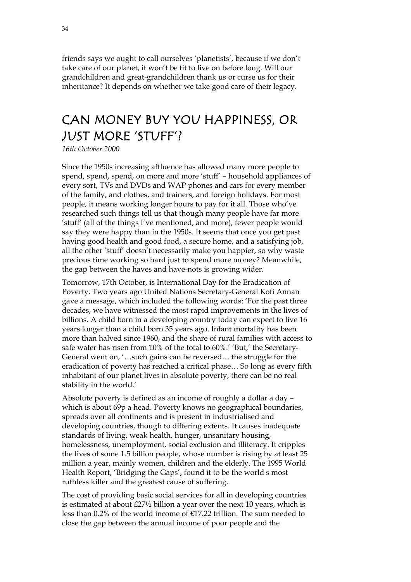friends says we ought to call ourselves 'planetists', because if we don't take care of our planet, it won't be fit to live on before long. Will our grandchildren and great-grandchildren thank us or curse us for their inheritance? It depends on whether we take good care of their legacy.

### **CAN MONEY BUY YOU HAPPINESS, OR JUST MORE 'STUFF'?**

*16th October 2000* 

Since the 1950s increasing affluence has allowed many more people to spend, spend, spend, on more and more 'stuff' – household appliances of every sort, TVs and DVDs and WAP phones and cars for every member of the family, and clothes, and trainers, and foreign holidays. For most people, it means working longer hours to pay for it all. Those who've researched such things tell us that though many people have far more 'stuff' (all of the things I've mentioned, and more), fewer people would say they were happy than in the 1950s. It seems that once you get past having good health and good food, a secure home, and a satisfying job, all the other 'stuff' doesn't necessarily make you happier, so why waste precious time working so hard just to spend more money? Meanwhile, the gap between the haves and have-nots is growing wider.

Tomorrow, 17th October, is International Day for the Eradication of Poverty. Two years ago United Nations Secretary-General Kofi Annan gave a message, which included the following words: 'For the past three decades, we have witnessed the most rapid improvements in the lives of billions. A child born in a developing country today can expect to live 16 years longer than a child born 35 years ago. Infant mortality has been more than halved since 1960, and the share of rural families with access to safe water has risen from 10% of the total to 60%.' 'But,' the Secretary-General went on, '…such gains can be reversed… the struggle for the eradication of poverty has reached a critical phase… So long as every fifth inhabitant of our planet lives in absolute poverty, there can be no real stability in the world.'

Absolute poverty is defined as an income of roughly a dollar a day – which is about 69p a head. Poverty knows no geographical boundaries, spreads over all continents and is present in industrialised and developing countries, though to differing extents. It causes inadequate standards of living, weak health, hunger, unsanitary housing, homelessness, unemployment, social exclusion and illiteracy. It cripples the lives of some 1.5 billion people, whose number is rising by at least 25 million a year, mainly women, children and the elderly. The 1995 World Health Report, 'Bridging the Gaps', found it to be the world's most ruthless killer and the greatest cause of suffering.

The cost of providing basic social services for all in developing countries is estimated at about £27½ billion a year over the next 10 years, which is less than 0.2% of the world income of £17.22 trillion. The sum needed to close the gap between the annual income of poor people and the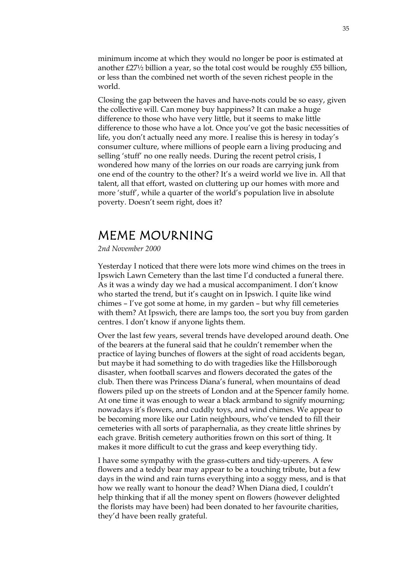minimum income at which they would no longer be poor is estimated at another £27½ billion a year, so the total cost would be roughly £55 billion, or less than the combined net worth of the seven richest people in the world.

Closing the gap between the haves and have-nots could be so easy, given the collective will. Can money buy happiness? It can make a huge difference to those who have very little, but it seems to make little difference to those who have a lot. Once you've got the basic necessities of life, you don't actually need any more. I realise this is heresy in today's consumer culture, where millions of people earn a living producing and selling 'stuff' no one really needs. During the recent petrol crisis, I wondered how many of the lorries on our roads are carrying junk from one end of the country to the other? It's a weird world we live in. All that talent, all that effort, wasted on cluttering up our homes with more and more 'stuff', while a quarter of the world's population live in absolute poverty. Doesn't seem right, does it?

#### **MEME MOURNING**

*2nd November 2000* 

Yesterday I noticed that there were lots more wind chimes on the trees in Ipswich Lawn Cemetery than the last time I'd conducted a funeral there. As it was a windy day we had a musical accompaniment. I don't know who started the trend, but it's caught on in Ipswich. I quite like wind chimes – I've got some at home, in my garden – but why fill cemeteries with them? At Ipswich, there are lamps too, the sort you buy from garden centres. I don't know if anyone lights them.

Over the last few years, several trends have developed around death. One of the bearers at the funeral said that he couldn't remember when the practice of laying bunches of flowers at the sight of road accidents began, but maybe it had something to do with tragedies like the Hillsborough disaster, when football scarves and flowers decorated the gates of the club. Then there was Princess Diana's funeral, when mountains of dead flowers piled up on the streets of London and at the Spencer family home. At one time it was enough to wear a black armband to signify mourning; nowadays it's flowers, and cuddly toys, and wind chimes. We appear to be becoming more like our Latin neighbours, who've tended to fill their cemeteries with all sorts of paraphernalia, as they create little shrines by each grave. British cemetery authorities frown on this sort of thing. It makes it more difficult to cut the grass and keep everything tidy.

I have some sympathy with the grass-cutters and tidy-uperers. A few flowers and a teddy bear may appear to be a touching tribute, but a few days in the wind and rain turns everything into a soggy mess, and is that how we really want to honour the dead? When Diana died, I couldn't help thinking that if all the money spent on flowers (however delighted the florists may have been) had been donated to her favourite charities, they'd have been really grateful.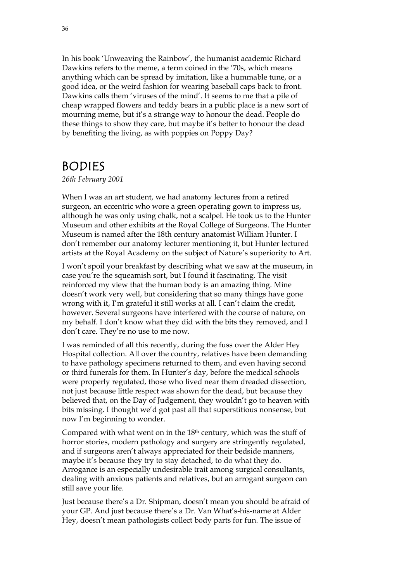In his book 'Unweaving the Rainbow', the humanist academic Richard Dawkins refers to the meme, a term coined in the '70s, which means anything which can be spread by imitation, like a hummable tune, or a good idea, or the weird fashion for wearing baseball caps back to front. Dawkins calls them 'viruses of the mind'. It seems to me that a pile of cheap wrapped flowers and teddy bears in a public place is a new sort of mourning meme, but it's a strange way to honour the dead. People do these things to show they care, but maybe it's better to honour the dead by benefiting the living, as with poppies on Poppy Day?

#### **BODIES**

#### *26th February 2001*

When I was an art student, we had anatomy lectures from a retired surgeon, an eccentric who wore a green operating gown to impress us, although he was only using chalk, not a scalpel. He took us to the Hunter Museum and other exhibits at the Royal College of Surgeons. The Hunter Museum is named after the 18th century anatomist William Hunter. I don't remember our anatomy lecturer mentioning it, but Hunter lectured artists at the Royal Academy on the subject of Nature's superiority to Art.

I won't spoil your breakfast by describing what we saw at the museum, in case you're the squeamish sort, but I found it fascinating. The visit reinforced my view that the human body is an amazing thing. Mine doesn't work very well, but considering that so many things have gone wrong with it, I'm grateful it still works at all. I can't claim the credit, however. Several surgeons have interfered with the course of nature, on my behalf. I don't know what they did with the bits they removed, and I don't care. They're no use to me now.

I was reminded of all this recently, during the fuss over the Alder Hey Hospital collection. All over the country, relatives have been demanding to have pathology specimens returned to them, and even having second or third funerals for them. In Hunter's day, before the medical schools were properly regulated, those who lived near them dreaded dissection, not just because little respect was shown for the dead, but because they believed that, on the Day of Judgement, they wouldn't go to heaven with bits missing. I thought we'd got past all that superstitious nonsense, but now I'm beginning to wonder.

Compared with what went on in the  $18<sup>th</sup>$  century, which was the stuff of horror stories, modern pathology and surgery are stringently regulated, and if surgeons aren't always appreciated for their bedside manners, maybe it's because they try to stay detached, to do what they do. Arrogance is an especially undesirable trait among surgical consultants, dealing with anxious patients and relatives, but an arrogant surgeon can still save your life.

Just because there's a Dr. Shipman, doesn't mean you should be afraid of your GP. And just because there's a Dr. Van What's-his-name at Alder Hey, doesn't mean pathologists collect body parts for fun. The issue of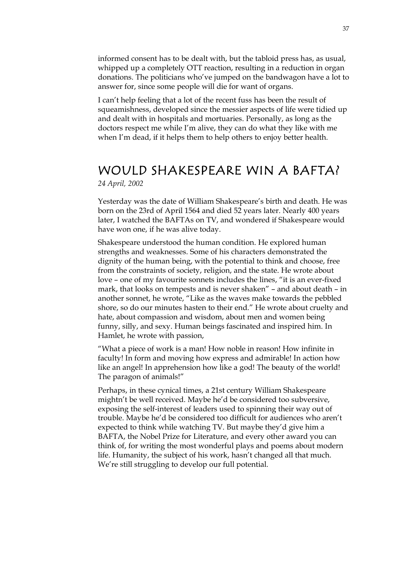informed consent has to be dealt with, but the tabloid press has, as usual, whipped up a completely OTT reaction, resulting in a reduction in organ donations. The politicians who've jumped on the bandwagon have a lot to answer for, since some people will die for want of organs.

I can't help feeling that a lot of the recent fuss has been the result of squeamishness, developed since the messier aspects of life were tidied up and dealt with in hospitals and mortuaries. Personally, as long as the doctors respect me while I'm alive, they can do what they like with me when I'm dead, if it helps them to help others to enjoy better health.

### **WOULD SHAKESPEARE WIN A BAFTA?**

*24 April, 2002* 

Yesterday was the date of William Shakespeare's birth and death. He was born on the 23rd of April 1564 and died 52 years later. Nearly 400 years later, I watched the BAFTAs on TV, and wondered if Shakespeare would have won one, if he was alive today.

Shakespeare understood the human condition. He explored human strengths and weaknesses. Some of his characters demonstrated the dignity of the human being, with the potential to think and choose, free from the constraints of society, religion, and the state. He wrote about love – one of my favourite sonnets includes the lines, "it is an ever-fixed mark, that looks on tempests and is never shaken" – and about death – in another sonnet, he wrote, "Like as the waves make towards the pebbled shore, so do our minutes hasten to their end." He wrote about cruelty and hate, about compassion and wisdom, about men and women being funny, silly, and sexy. Human beings fascinated and inspired him. In Hamlet, he wrote with passion,

"What a piece of work is a man! How noble in reason! How infinite in faculty! In form and moving how express and admirable! In action how like an angel! In apprehension how like a god! The beauty of the world! The paragon of animals!"

Perhaps, in these cynical times, a 21st century William Shakespeare mightn't be well received. Maybe he'd be considered too subversive, exposing the self-interest of leaders used to spinning their way out of trouble. Maybe he'd be considered too difficult for audiences who aren't expected to think while watching TV. But maybe they'd give him a BAFTA, the Nobel Prize for Literature, and every other award you can think of, for writing the most wonderful plays and poems about modern life. Humanity, the subject of his work, hasn't changed all that much. We're still struggling to develop our full potential.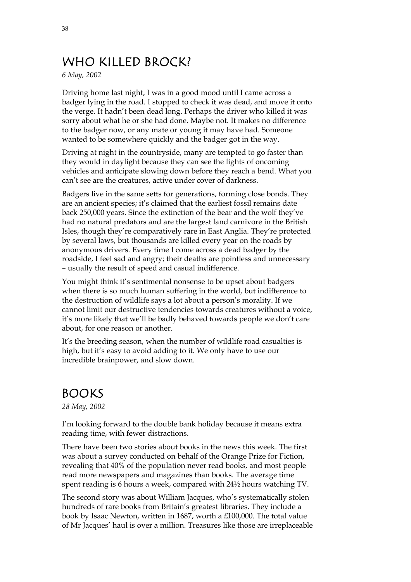### **WHO KILLED BROCK?**

*6 May, 2002* 

Driving home last night, I was in a good mood until I came across a badger lying in the road. I stopped to check it was dead, and move it onto the verge. It hadn't been dead long. Perhaps the driver who killed it was sorry about what he or she had done. Maybe not. It makes no difference to the badger now, or any mate or young it may have had. Someone wanted to be somewhere quickly and the badger got in the way.

Driving at night in the countryside, many are tempted to go faster than they would in daylight because they can see the lights of oncoming vehicles and anticipate slowing down before they reach a bend. What you can't see are the creatures, active under cover of darkness.

Badgers live in the same setts for generations, forming close bonds. They are an ancient species; it's claimed that the earliest fossil remains date back 250,000 years. Since the extinction of the bear and the wolf they've had no natural predators and are the largest land carnivore in the British Isles, though they're comparatively rare in East Anglia. They're protected by several laws, but thousands are killed every year on the roads by anonymous drivers. Every time I come across a dead badger by the roadside, I feel sad and angry; their deaths are pointless and unnecessary – usually the result of speed and casual indifference.

You might think it's sentimental nonsense to be upset about badgers when there is so much human suffering in the world, but indifference to the destruction of wildlife says a lot about a person's morality. If we cannot limit our destructive tendencies towards creatures without a voice, it's more likely that we'll be badly behaved towards people we don't care about, for one reason or another.

It's the breeding season, when the number of wildlife road casualties is high, but it's easy to avoid adding to it. We only have to use our incredible brainpower, and slow down.

### **BOOKS**

*28 May, 2002* 

I'm looking forward to the double bank holiday because it means extra reading time, with fewer distractions.

There have been two stories about books in the news this week. The first was about a survey conducted on behalf of the Orange Prize for Fiction, revealing that 40% of the population never read books, and most people read more newspapers and magazines than books. The average time spent reading is 6 hours a week, compared with 24½ hours watching TV.

The second story was about William Jacques, who's systematically stolen hundreds of rare books from Britain's greatest libraries. They include a book by Isaac Newton, written in 1687, worth a £100,000. The total value of Mr Jacques' haul is over a million. Treasures like those are irreplaceable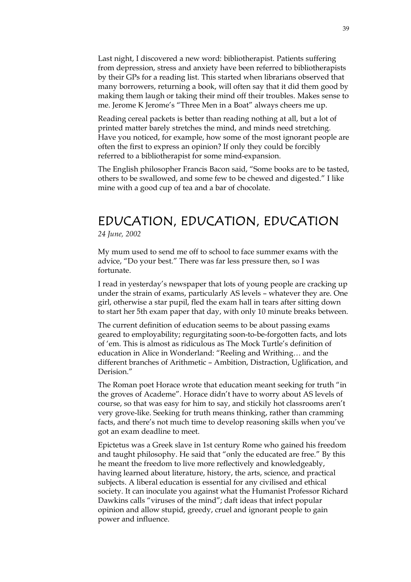Last night, I discovered a new word: bibliotherapist. Patients suffering from depression, stress and anxiety have been referred to bibliotherapists by their GPs for a reading list. This started when librarians observed that many borrowers, returning a book, will often say that it did them good by making them laugh or taking their mind off their troubles. Makes sense to me. Jerome K Jerome's "Three Men in a Boat" always cheers me up.

Reading cereal packets is better than reading nothing at all, but a lot of printed matter barely stretches the mind, and minds need stretching. Have you noticed, for example, how some of the most ignorant people are often the first to express an opinion? If only they could be forcibly referred to a bibliotherapist for some mind-expansion.

The English philosopher Francis Bacon said, "Some books are to be tasted, others to be swallowed, and some few to be chewed and digested." I like mine with a good cup of tea and a bar of chocolate.

### **EDUCATION, EDUCATION, EDUCATION**

*24 June, 2002* 

My mum used to send me off to school to face summer exams with the advice, "Do your best." There was far less pressure then, so I was fortunate.

I read in yesterday's newspaper that lots of young people are cracking up under the strain of exams, particularly AS levels – whatever they are. One girl, otherwise a star pupil, fled the exam hall in tears after sitting down to start her 5th exam paper that day, with only 10 minute breaks between.

The current definition of education seems to be about passing exams geared to employability; regurgitating soon-to-be-forgotten facts, and lots of 'em. This is almost as ridiculous as The Mock Turtle's definition of education in Alice in Wonderland: "Reeling and Writhing… and the different branches of Arithmetic – Ambition, Distraction, Uglification, and Derision."

The Roman poet Horace wrote that education meant seeking for truth "in the groves of Academe". Horace didn't have to worry about AS levels of course, so that was easy for him to say, and stickily hot classrooms aren't very grove-like. Seeking for truth means thinking, rather than cramming facts, and there's not much time to develop reasoning skills when you've got an exam deadline to meet.

Epictetus was a Greek slave in 1st century Rome who gained his freedom and taught philosophy. He said that "only the educated are free." By this he meant the freedom to live more reflectively and knowledgeably, having learned about literature, history, the arts, science, and practical subjects. A liberal education is essential for any civilised and ethical society. It can inoculate you against what the Humanist Professor Richard Dawkins calls "viruses of the mind"; daft ideas that infect popular opinion and allow stupid, greedy, cruel and ignorant people to gain power and influence.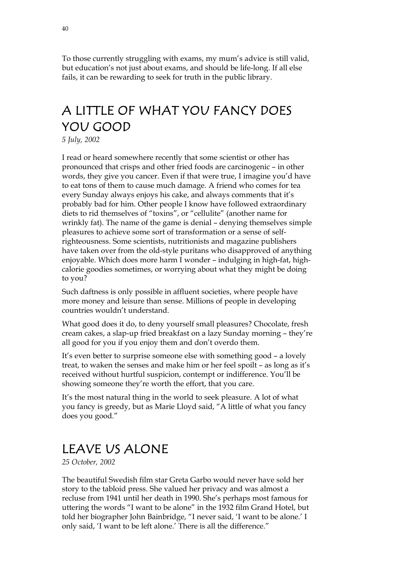To those currently struggling with exams, my mum's advice is still valid, but education's not just about exams, and should be life-long. If all else fails, it can be rewarding to seek for truth in the public library.

## **A LITTLE OF WHAT YOU FANCY DOES YOU GOOD**

*5 July, 2002* 

I read or heard somewhere recently that some scientist or other has pronounced that crisps and other fried foods are carcinogenic – in other words, they give you cancer. Even if that were true, I imagine you'd have to eat tons of them to cause much damage. A friend who comes for tea every Sunday always enjoys his cake, and always comments that it's probably bad for him. Other people I know have followed extraordinary diets to rid themselves of "toxins", or "cellulite" (another name for wrinkly fat). The name of the game is denial – denying themselves simple pleasures to achieve some sort of transformation or a sense of selfrighteousness. Some scientists, nutritionists and magazine publishers have taken over from the old-style puritans who disapproved of anything enjoyable. Which does more harm I wonder – indulging in high-fat, highcalorie goodies sometimes, or worrying about what they might be doing to you?

Such daftness is only possible in affluent societies, where people have more money and leisure than sense. Millions of people in developing countries wouldn't understand.

What good does it do, to deny yourself small pleasures? Chocolate, fresh cream cakes, a slap-up fried breakfast on a lazy Sunday morning – they're all good for you if you enjoy them and don't overdo them.

It's even better to surprise someone else with something good – a lovely treat, to waken the senses and make him or her feel spoilt – as long as it's received without hurtful suspicion, contempt or indifference. You'll be showing someone they're worth the effort, that you care.

It's the most natural thing in the world to seek pleasure. A lot of what you fancy is greedy, but as Marie Lloyd said, "A little of what you fancy does you good."

### **LEAVE US ALONE**

*25 October, 2002* 

The beautiful Swedish film star Greta Garbo would never have sold her story to the tabloid press. She valued her privacy and was almost a recluse from 1941 until her death in 1990. She's perhaps most famous for uttering the words "I want to be alone" in the 1932 film Grand Hotel, but told her biographer John Bainbridge, "I never said, 'I want to be alone.' I only said, 'I want to be left alone.' There is all the difference."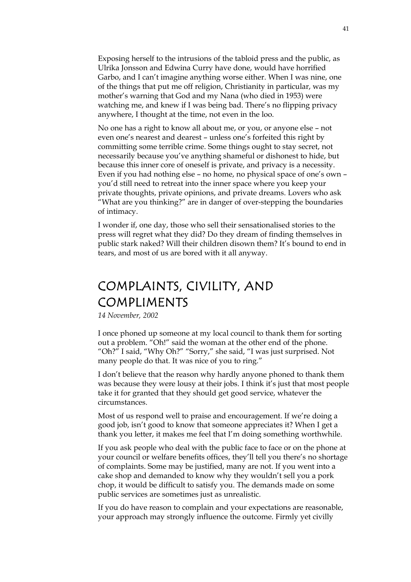Exposing herself to the intrusions of the tabloid press and the public, as Ulrika Jonsson and Edwina Curry have done, would have horrified Garbo, and I can't imagine anything worse either. When I was nine, one of the things that put me off religion, Christianity in particular, was my mother's warning that God and my Nana (who died in 1953) were watching me, and knew if I was being bad. There's no flipping privacy anywhere, I thought at the time, not even in the loo.

No one has a right to know all about me, or you, or anyone else – not even one's nearest and dearest – unless one's forfeited this right by committing some terrible crime. Some things ought to stay secret, not necessarily because you've anything shameful or dishonest to hide, but because this inner core of oneself is private, and privacy is a necessity. Even if you had nothing else – no home, no physical space of one's own – you'd still need to retreat into the inner space where you keep your private thoughts, private opinions, and private dreams. Lovers who ask "What are you thinking?" are in danger of over-stepping the boundaries of intimacy.

I wonder if, one day, those who sell their sensationalised stories to the press will regret what they did? Do they dream of finding themselves in public stark naked? Will their children disown them? It's bound to end in tears, and most of us are bored with it all anyway.

### **COMPLAINTS, CIVILITY, AND COMPLIMENTS**

*14 November, 2002* 

I once phoned up someone at my local council to thank them for sorting out a problem. "Oh!" said the woman at the other end of the phone. "Oh?" I said, "Why Oh?" "Sorry," she said, "I was just surprised. Not many people do that. It was nice of you to ring."

I don't believe that the reason why hardly anyone phoned to thank them was because they were lousy at their jobs. I think it's just that most people take it for granted that they should get good service, whatever the circumstances.

Most of us respond well to praise and encouragement. If we're doing a good job, isn't good to know that someone appreciates it? When I get a thank you letter, it makes me feel that I'm doing something worthwhile.

If you ask people who deal with the public face to face or on the phone at your council or welfare benefits offices, they'll tell you there's no shortage of complaints. Some may be justified, many are not. If you went into a cake shop and demanded to know why they wouldn't sell you a pork chop, it would be difficult to satisfy you. The demands made on some public services are sometimes just as unrealistic.

If you do have reason to complain and your expectations are reasonable, your approach may strongly influence the outcome. Firmly yet civilly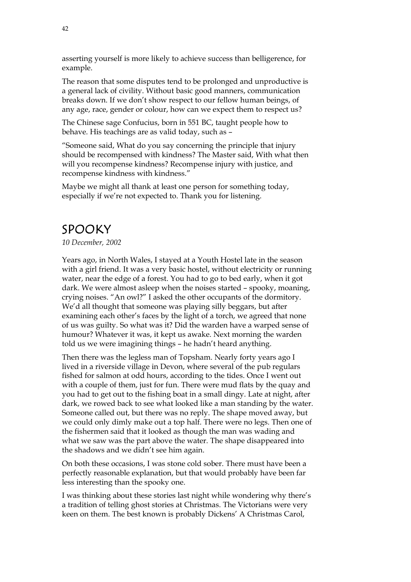asserting yourself is more likely to achieve success than belligerence, for example.

The reason that some disputes tend to be prolonged and unproductive is a general lack of civility. Without basic good manners, communication breaks down. If we don't show respect to our fellow human beings, of any age, race, gender or colour, how can we expect them to respect us?

The Chinese sage Confucius, born in 551 BC, taught people how to behave. His teachings are as valid today, such as –

"Someone said, What do you say concerning the principle that injury should be recompensed with kindness? The Master said, With what then will you recompense kindness? Recompense injury with justice, and recompense kindness with kindness."

Maybe we might all thank at least one person for something today, especially if we're not expected to. Thank you for listening.

#### **SPOOKY**

*10 December, 2002* 

Years ago, in North Wales, I stayed at a Youth Hostel late in the season with a girl friend. It was a very basic hostel, without electricity or running water, near the edge of a forest. You had to go to bed early, when it got dark. We were almost asleep when the noises started – spooky, moaning, crying noises. "An owl?" I asked the other occupants of the dormitory. We'd all thought that someone was playing silly beggars, but after examining each other's faces by the light of a torch, we agreed that none of us was guilty. So what was it? Did the warden have a warped sense of humour? Whatever it was, it kept us awake. Next morning the warden told us we were imagining things – he hadn't heard anything.

Then there was the legless man of Topsham. Nearly forty years ago I lived in a riverside village in Devon, where several of the pub regulars fished for salmon at odd hours, according to the tides. Once I went out with a couple of them, just for fun. There were mud flats by the quay and you had to get out to the fishing boat in a small dingy. Late at night, after dark, we rowed back to see what looked like a man standing by the water. Someone called out, but there was no reply. The shape moved away, but we could only dimly make out a top half. There were no legs. Then one of the fishermen said that it looked as though the man was wading and what we saw was the part above the water. The shape disappeared into the shadows and we didn't see him again.

On both these occasions, I was stone cold sober. There must have been a perfectly reasonable explanation, but that would probably have been far less interesting than the spooky one.

I was thinking about these stories last night while wondering why there's a tradition of telling ghost stories at Christmas. The Victorians were very keen on them. The best known is probably Dickens' A Christmas Carol,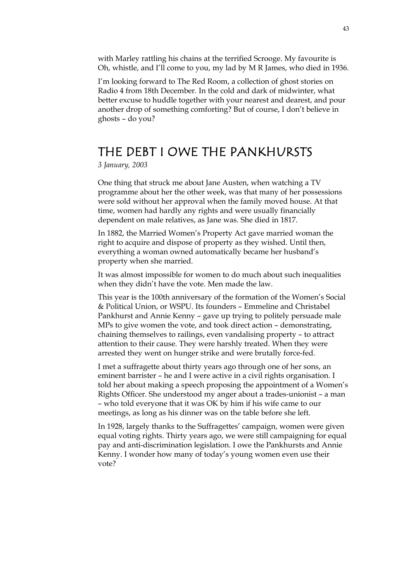with Marley rattling his chains at the terrified Scrooge. My favourite is Oh, whistle, and I'll come to you, my lad by M R James, who died in 1936.

I'm looking forward to The Red Room, a collection of ghost stories on Radio 4 from 18th December. In the cold and dark of midwinter, what better excuse to huddle together with your nearest and dearest, and pour another drop of something comforting? But of course, I don't believe in ghosts – do you?

### **THE DEBT I OWE THE PANKHURSTS**

*3 January, 2003* 

One thing that struck me about Jane Austen, when watching a TV programme about her the other week, was that many of her possessions were sold without her approval when the family moved house. At that time, women had hardly any rights and were usually financially dependent on male relatives, as Jane was. She died in 1817.

In 1882, the Married Women's Property Act gave married woman the right to acquire and dispose of property as they wished. Until then, everything a woman owned automatically became her husband's property when she married.

It was almost impossible for women to do much about such inequalities when they didn't have the vote. Men made the law.

This year is the 100th anniversary of the formation of the Women's Social & Political Union, or WSPU. Its founders – Emmeline and Christabel Pankhurst and Annie Kenny – gave up trying to politely persuade male MPs to give women the vote, and took direct action – demonstrating, chaining themselves to railings, even vandalising property – to attract attention to their cause. They were harshly treated. When they were arrested they went on hunger strike and were brutally force-fed.

I met a suffragette about thirty years ago through one of her sons, an eminent barrister – he and I were active in a civil rights organisation. I told her about making a speech proposing the appointment of a Women's Rights Officer. She understood my anger about a trades-unionist – a man – who told everyone that it was OK by him if his wife came to our meetings, as long as his dinner was on the table before she left.

In 1928, largely thanks to the Suffragettes' campaign, women were given equal voting rights. Thirty years ago, we were still campaigning for equal pay and anti-discrimination legislation. I owe the Pankhursts and Annie Kenny. I wonder how many of today's young women even use their vote?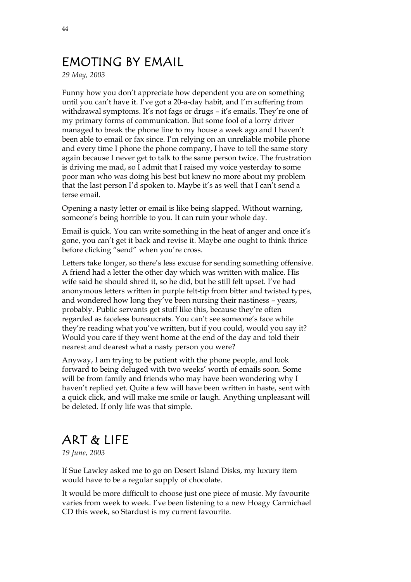### **EMOTING BY EMAIL**

*29 May, 2003* 

Funny how you don't appreciate how dependent you are on something until you can't have it. I've got a 20-a-day habit, and I'm suffering from withdrawal symptoms. It's not fags or drugs – it's emails. They're one of my primary forms of communication. But some fool of a lorry driver managed to break the phone line to my house a week ago and I haven't been able to email or fax since. I'm relying on an unreliable mobile phone and every time I phone the phone company, I have to tell the same story again because I never get to talk to the same person twice. The frustration is driving me mad, so I admit that I raised my voice yesterday to some poor man who was doing his best but knew no more about my problem that the last person I'd spoken to. Maybe it's as well that I can't send a terse email.

Opening a nasty letter or email is like being slapped. Without warning, someone's being horrible to you. It can ruin your whole day.

Email is quick. You can write something in the heat of anger and once it's gone, you can't get it back and revise it. Maybe one ought to think thrice before clicking "send" when you're cross.

Letters take longer, so there's less excuse for sending something offensive. A friend had a letter the other day which was written with malice. His wife said he should shred it, so he did, but he still felt upset. I've had anonymous letters written in purple felt-tip from bitter and twisted types, and wondered how long they've been nursing their nastiness – years, probably. Public servants get stuff like this, because they're often regarded as faceless bureaucrats. You can't see someone's face while they're reading what you've written, but if you could, would you say it? Would you care if they went home at the end of the day and told their nearest and dearest what a nasty person you were?

Anyway, I am trying to be patient with the phone people, and look forward to being deluged with two weeks' worth of emails soon. Some will be from family and friends who may have been wondering why I haven't replied yet. Quite a few will have been written in haste, sent with a quick click, and will make me smile or laugh. Anything unpleasant will be deleted. If only life was that simple.

### **ART & LIFE**

*19 June, 2003* 

If Sue Lawley asked me to go on Desert Island Disks, my luxury item would have to be a regular supply of chocolate.

It would be more difficult to choose just one piece of music. My favourite varies from week to week. I've been listening to a new Hoagy Carmichael CD this week, so Stardust is my current favourite.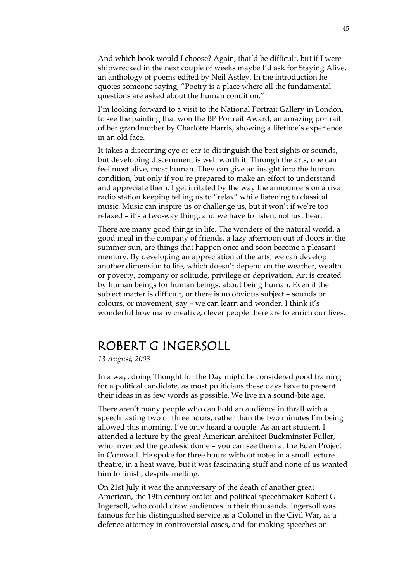And which book would I choose? Again, that'd be difficult, but if I were shipwrecked in the next couple of weeks maybe I'd ask for Staying Alive, an anthology of poems edited by Neil Astley. In the introduction he quotes someone saying, "Poetry is a place where all the fundamental questions are asked about the human condition."

I'm looking forward to a visit to the National Portrait Gallery in London, to see the painting that won the BP Portrait Award, an amazing portrait of her grandmother by Charlotte Harris, showing a lifetime's experience in an old face.

It takes a discerning eye or ear to distinguish the best sights or sounds, but developing discernment is well worth it. Through the arts, one can feel most alive, most human. They can give an insight into the human condition, but only if you're prepared to make an effort to understand and appreciate them. I get irritated by the way the announcers on a rival radio station keeping telling us to "relax" while listening to classical music. Music can inspire us or challenge us, but it won't if we're too relaxed – it's a two-way thing, and we have to listen, not just hear.

There are many good things in life. The wonders of the natural world, a good meal in the company of friends, a lazy afternoon out of doors in the summer sun, are things that happen once and soon become a pleasant memory. By developing an appreciation of the arts, we can develop another dimension to life, which doesn't depend on the weather, wealth or poverty, company or solitude, privilege or deprivation. Art is created by human beings for human beings, about being human. Even if the subject matter is difficult, or there is no obvious subject – sounds or colours, or movement, say – we can learn and wonder. I think it's wonderful how many creative, clever people there are to enrich our lives.

### **ROBERT G INGERSOLL**

*13 August, 2003* 

In a way, doing Thought for the Day might be considered good training for a political candidate, as most politicians these days have to present their ideas in as few words as possible. We live in a sound-bite age.

There aren't many people who can hold an audience in thrall with a speech lasting two or three hours, rather than the two minutes I'm being allowed this morning. I've only heard a couple. As an art student, I attended a lecture by the great American architect Buckminster Fuller, who invented the geodesic dome – you can see them at the Eden Project in Cornwall. He spoke for three hours without notes in a small lecture theatre, in a heat wave, but it was fascinating stuff and none of us wanted him to finish, despite melting.

On 21st July it was the anniversary of the death of another great American, the 19th century orator and political speechmaker Robert G Ingersoll, who could draw audiences in their thousands. Ingersoll was famous for his distinguished service as a Colonel in the Civil War, as a defence attorney in controversial cases, and for making speeches on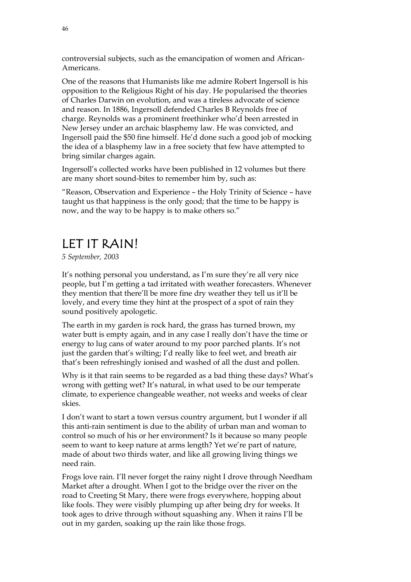controversial subjects, such as the emancipation of women and African-Americans.

One of the reasons that Humanists like me admire Robert Ingersoll is his opposition to the Religious Right of his day. He popularised the theories of Charles Darwin on evolution, and was a tireless advocate of science and reason. In 1886, Ingersoll defended Charles B Reynolds free of charge. Reynolds was a prominent freethinker who'd been arrested in New Jersey under an archaic blasphemy law. He was convicted, and Ingersoll paid the \$50 fine himself. He'd done such a good job of mocking the idea of a blasphemy law in a free society that few have attempted to bring similar charges again.

Ingersoll's collected works have been published in 12 volumes but there are many short sound-bites to remember him by, such as:

"Reason, Observation and Experience – the Holy Trinity of Science – have taught us that happiness is the only good; that the time to be happy is now, and the way to be happy is to make others so."

#### **LET IT RAIN!**

*5 September, 2003* 

It's nothing personal you understand, as I'm sure they're all very nice people, but I'm getting a tad irritated with weather forecasters. Whenever they mention that there'll be more fine dry weather they tell us it'll be lovely, and every time they hint at the prospect of a spot of rain they sound positively apologetic.

The earth in my garden is rock hard, the grass has turned brown, my water butt is empty again, and in any case I really don't have the time or energy to lug cans of water around to my poor parched plants. It's not just the garden that's wilting; I'd really like to feel wet, and breath air that's been refreshingly ionised and washed of all the dust and pollen.

Why is it that rain seems to be regarded as a bad thing these days? What's wrong with getting wet? It's natural, in what used to be our temperate climate, to experience changeable weather, not weeks and weeks of clear skies.

I don't want to start a town versus country argument, but I wonder if all this anti-rain sentiment is due to the ability of urban man and woman to control so much of his or her environment? Is it because so many people seem to want to keep nature at arms length? Yet we're part of nature, made of about two thirds water, and like all growing living things we need rain.

Frogs love rain. I'll never forget the rainy night I drove through Needham Market after a drought. When I got to the bridge over the river on the road to Creeting St Mary, there were frogs everywhere, hopping about like fools. They were visibly plumping up after being dry for weeks. It took ages to drive through without squashing any. When it rains I'll be out in my garden, soaking up the rain like those frogs.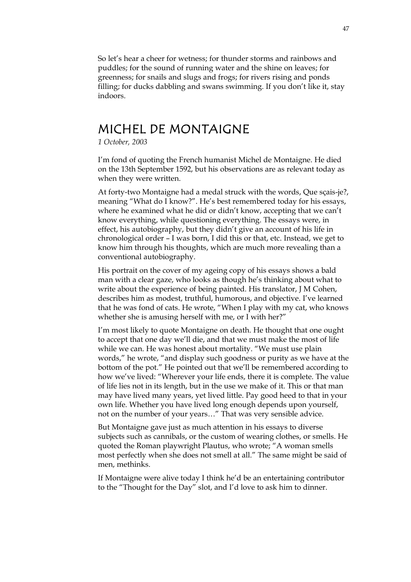So let's hear a cheer for wetness; for thunder storms and rainbows and puddles; for the sound of running water and the shine on leaves; for greenness; for snails and slugs and frogs; for rivers rising and ponds filling; for ducks dabbling and swans swimming. If you don't like it, stay indoors.

#### **MICHEL DE MONTAIGNE**

*1 October, 2003* 

I'm fond of quoting the French humanist Michel de Montaigne. He died on the 13th September 1592, but his observations are as relevant today as when they were written.

At forty-two Montaigne had a medal struck with the words, Que sçais-je?, meaning "What do I know?". He's best remembered today for his essays, where he examined what he did or didn't know, accepting that we can't know everything, while questioning everything. The essays were, in effect, his autobiography, but they didn't give an account of his life in chronological order – I was born, I did this or that, etc. Instead, we get to know him through his thoughts, which are much more revealing than a conventional autobiography.

His portrait on the cover of my ageing copy of his essays shows a bald man with a clear gaze, who looks as though he's thinking about what to write about the experience of being painted. His translator, J M Cohen, describes him as modest, truthful, humorous, and objective. I've learned that he was fond of cats. He wrote, "When I play with my cat, who knows whether she is amusing herself with me, or I with her?"

I'm most likely to quote Montaigne on death. He thought that one ought to accept that one day we'll die, and that we must make the most of life while we can. He was honest about mortality. "We must use plain words," he wrote, "and display such goodness or purity as we have at the bottom of the pot." He pointed out that we'll be remembered according to how we've lived: "Wherever your life ends, there it is complete. The value of life lies not in its length, but in the use we make of it. This or that man may have lived many years, yet lived little. Pay good heed to that in your own life. Whether you have lived long enough depends upon yourself, not on the number of your years…" That was very sensible advice.

But Montaigne gave just as much attention in his essays to diverse subjects such as cannibals, or the custom of wearing clothes, or smells. He quoted the Roman playwright Plautus, who wrote; "A woman smells most perfectly when she does not smell at all." The same might be said of men, methinks.

If Montaigne were alive today I think he'd be an entertaining contributor to the "Thought for the Day" slot, and I'd love to ask him to dinner.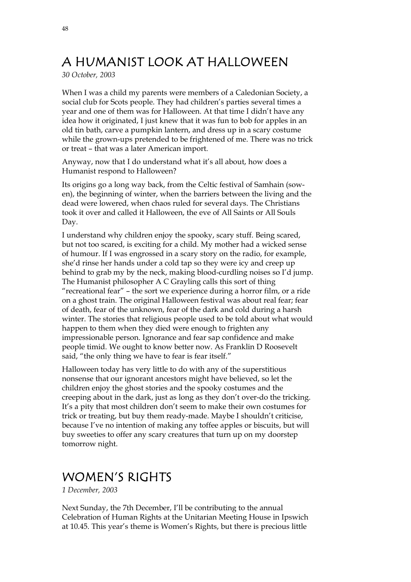### **A HUMANIST LOOK AT HALLOWEEN**

*30 October, 2003* 

When I was a child my parents were members of a Caledonian Society, a social club for Scots people. They had children's parties several times a year and one of them was for Halloween. At that time I didn't have any idea how it originated, I just knew that it was fun to bob for apples in an old tin bath, carve a pumpkin lantern, and dress up in a scary costume while the grown-ups pretended to be frightened of me. There was no trick or treat – that was a later American import.

Anyway, now that I do understand what it's all about, how does a Humanist respond to Halloween?

Its origins go a long way back, from the Celtic festival of Samhain (sowen), the beginning of winter, when the barriers between the living and the dead were lowered, when chaos ruled for several days. The Christians took it over and called it Halloween, the eve of All Saints or All Souls Day.

I understand why children enjoy the spooky, scary stuff. Being scared, but not too scared, is exciting for a child. My mother had a wicked sense of humour. If I was engrossed in a scary story on the radio, for example, she'd rinse her hands under a cold tap so they were icy and creep up behind to grab my by the neck, making blood-curdling noises so I'd jump. The Humanist philosopher A C Grayling calls this sort of thing "recreational fear" – the sort we experience during a horror film, or a ride on a ghost train. The original Halloween festival was about real fear; fear of death, fear of the unknown, fear of the dark and cold during a harsh winter. The stories that religious people used to be told about what would happen to them when they died were enough to frighten any impressionable person. Ignorance and fear sap confidence and make people timid. We ought to know better now. As Franklin D Roosevelt said, "the only thing we have to fear is fear itself."

Halloween today has very little to do with any of the superstitious nonsense that our ignorant ancestors might have believed, so let the children enjoy the ghost stories and the spooky costumes and the creeping about in the dark, just as long as they don't over-do the tricking. It's a pity that most children don't seem to make their own costumes for trick or treating, but buy them ready-made. Maybe I shouldn't criticise, because I've no intention of making any toffee apples or biscuits, but will buy sweeties to offer any scary creatures that turn up on my doorstep tomorrow night.

### **WOMEN'S RIGHTS**

*1 December, 2003* 

Next Sunday, the 7th December, I'll be contributing to the annual Celebration of Human Rights at the Unitarian Meeting House in Ipswich at 10.45. This year's theme is Women's Rights, but there is precious little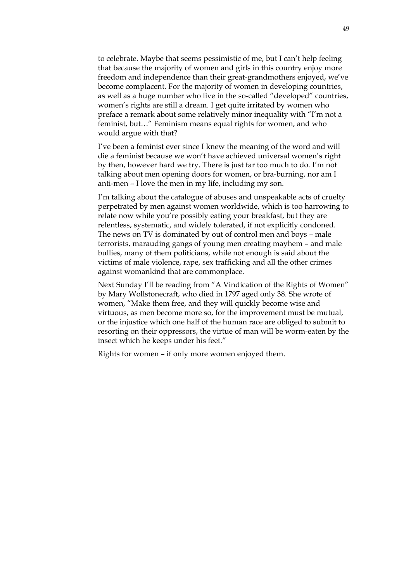to celebrate. Maybe that seems pessimistic of me, but I can't help feeling that because the majority of women and girls in this country enjoy more freedom and independence than their great-grandmothers enjoyed, we've become complacent. For the majority of women in developing countries, as well as a huge number who live in the so-called "developed" countries, women's rights are still a dream. I get quite irritated by women who preface a remark about some relatively minor inequality with "I'm not a feminist, but…" Feminism means equal rights for women, and who would argue with that?

I've been a feminist ever since I knew the meaning of the word and will die a feminist because we won't have achieved universal women's right by then, however hard we try. There is just far too much to do. I'm not talking about men opening doors for women, or bra-burning, nor am I anti-men – I love the men in my life, including my son.

I'm talking about the catalogue of abuses and unspeakable acts of cruelty perpetrated by men against women worldwide, which is too harrowing to relate now while you're possibly eating your breakfast, but they are relentless, systematic, and widely tolerated, if not explicitly condoned. The news on TV is dominated by out of control men and boys – male terrorists, marauding gangs of young men creating mayhem – and male bullies, many of them politicians, while not enough is said about the victims of male violence, rape, sex trafficking and all the other crimes against womankind that are commonplace.

Next Sunday I'll be reading from "A Vindication of the Rights of Women" by Mary Wollstonecraft, who died in 1797 aged only 38. She wrote of women, "Make them free, and they will quickly become wise and virtuous, as men become more so, for the improvement must be mutual, or the injustice which one half of the human race are obliged to submit to resorting on their oppressors, the virtue of man will be worm-eaten by the insect which he keeps under his feet."

Rights for women – if only more women enjoyed them.